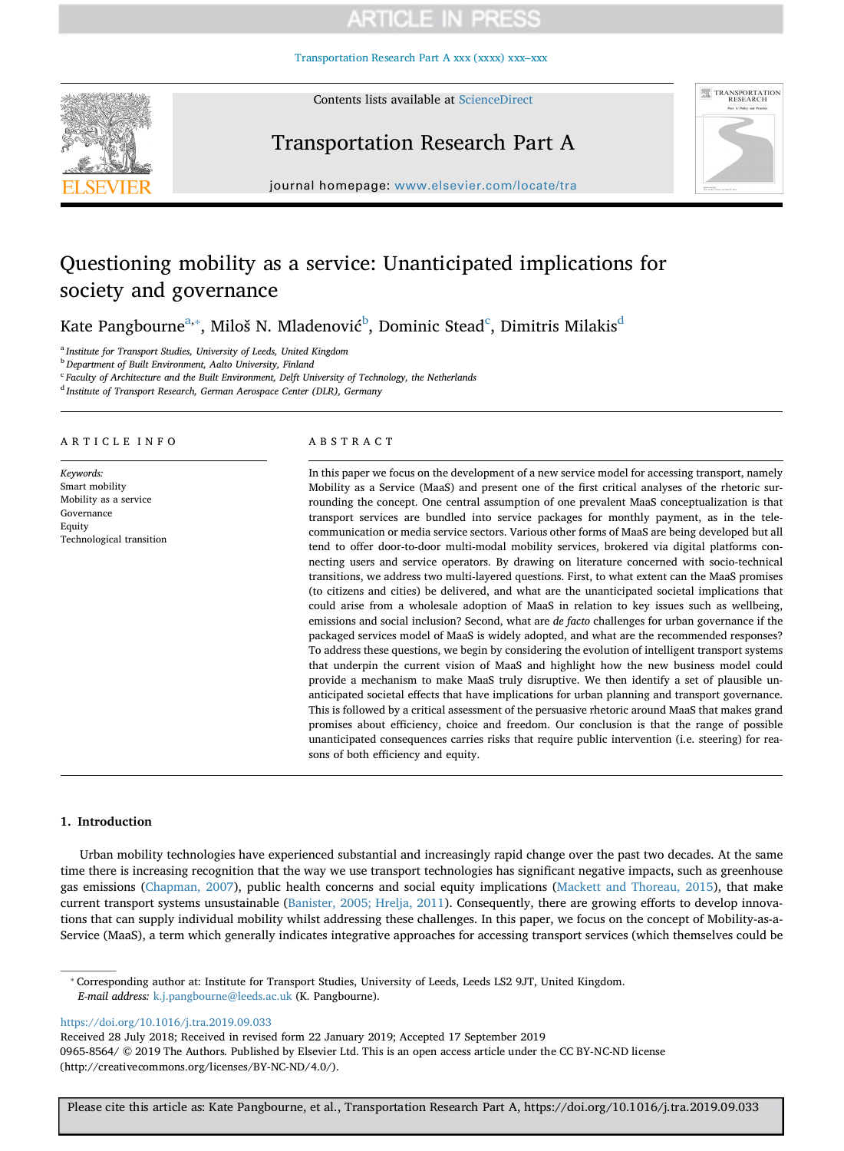[Transportation Research Part A xxx \(xxxx\) xxx–xxx](https://doi.org/10.1016/j.tra.2019.09.033)



Contents lists available at [ScienceDirect](http://www.sciencedirect.com/science/journal/09658564)

## Transportation Research Part A



journal homepage: [www.elsevier.com/locate/tra](https://www.elsevier.com/locate/tra)

## Questioning mobility as a service: Unanticipated implications for society and governance

Kate Pangbourne $^{\mathrm{a},*}$ , Miloš N. Mla[d](#page-0-4)enović $^{\mathrm{b}}$ , Dominic St[ea](#page-0-0)d $^{\mathrm{c}}$  $^{\mathrm{c}}$  $^{\mathrm{c}}$ , Dimitris Milakis $^{\mathrm{d}}$ 

<span id="page-0-0"></span><sup>a</sup> *Institute for Transport Studies, University of Leeds, United Kingdom*

<span id="page-0-2"></span><sup>b</sup> *Department of Built Environment, Aalto University, Finland*

<span id="page-0-3"></span><sup>c</sup> *Faculty of Architecture and the Built Environment, Delft University of Technology, the Netherlands*

<span id="page-0-4"></span><sup>d</sup> *Institute of Transport Research, German Aerospace Center (DLR), Germany*

## ARTICLE INFO

*Keywords:* Smart mobility Mobility as a service Governance Equity Technological transition

## ABSTRACT

In this paper we focus on the development of a new service model for accessing transport, namely Mobility as a Service (MaaS) and present one of the first critical analyses of the rhetoric surrounding the concept. One central assumption of one prevalent MaaS conceptualization is that transport services are bundled into service packages for monthly payment, as in the telecommunication or media service sectors. Various other forms of MaaS are being developed but all tend to offer door-to-door multi-modal mobility services, brokered via digital platforms connecting users and service operators. By drawing on literature concerned with socio-technical transitions, we address two multi-layered questions. First, to what extent can the MaaS promises (to citizens and cities) be delivered, and what are the unanticipated societal implications that could arise from a wholesale adoption of MaaS in relation to key issues such as wellbeing, emissions and social inclusion? Second, what are *de facto* challenges for urban governance if the packaged services model of MaaS is widely adopted, and what are the recommended responses? To address these questions, we begin by considering the evolution of intelligent transport systems that underpin the current vision of MaaS and highlight how the new business model could provide a mechanism to make MaaS truly disruptive. We then identify a set of plausible unanticipated societal effects that have implications for urban planning and transport governance. This is followed by a critical assessment of the persuasive rhetoric around MaaS that makes grand promises about efficiency, choice and freedom. Our conclusion is that the range of possible unanticipated consequences carries risks that require public intervention (i.e. steering) for reasons of both efficiency and equity.

## **1. Introduction**

Urban mobility technologies have experienced substantial and increasingly rapid change over the past two decades. At the same time there is increasing recognition that the way we use transport technologies has significant negative impacts, such as greenhouse gas emissions ([Chapman, 2007\)](#page-13-0), public health concerns and social equity implications [\(Mackett and Thoreau, 2015](#page-13-1)), that make current transport systems unsustainable ([Banister, 2005; Hrelja, 2011\)](#page-13-2). Consequently, there are growing efforts to develop innovations that can supply individual mobility whilst addressing these challenges. In this paper, we focus on the concept of Mobility-as-a-Service (MaaS), a term which generally indicates integrative approaches for accessing transport services (which themselves could be

<span id="page-0-1"></span>⁎ Corresponding author at: Institute for Transport Studies, University of Leeds, Leeds LS2 9JT, United Kingdom. *E-mail address:* [k.j.pangbourne@leeds.ac.uk](mailto:k.j.pangbourne@leeds.ac.uk) (K. Pangbourne).

<https://doi.org/10.1016/j.tra.2019.09.033>

Received 28 July 2018; Received in revised form 22 January 2019; Accepted 17 September 2019 0965-8564/ © 2019 The Authors. Published by Elsevier Ltd. This is an open access article under the CC BY-NC-ND license (http://creativecommons.org/licenses/BY-NC-ND/4.0/).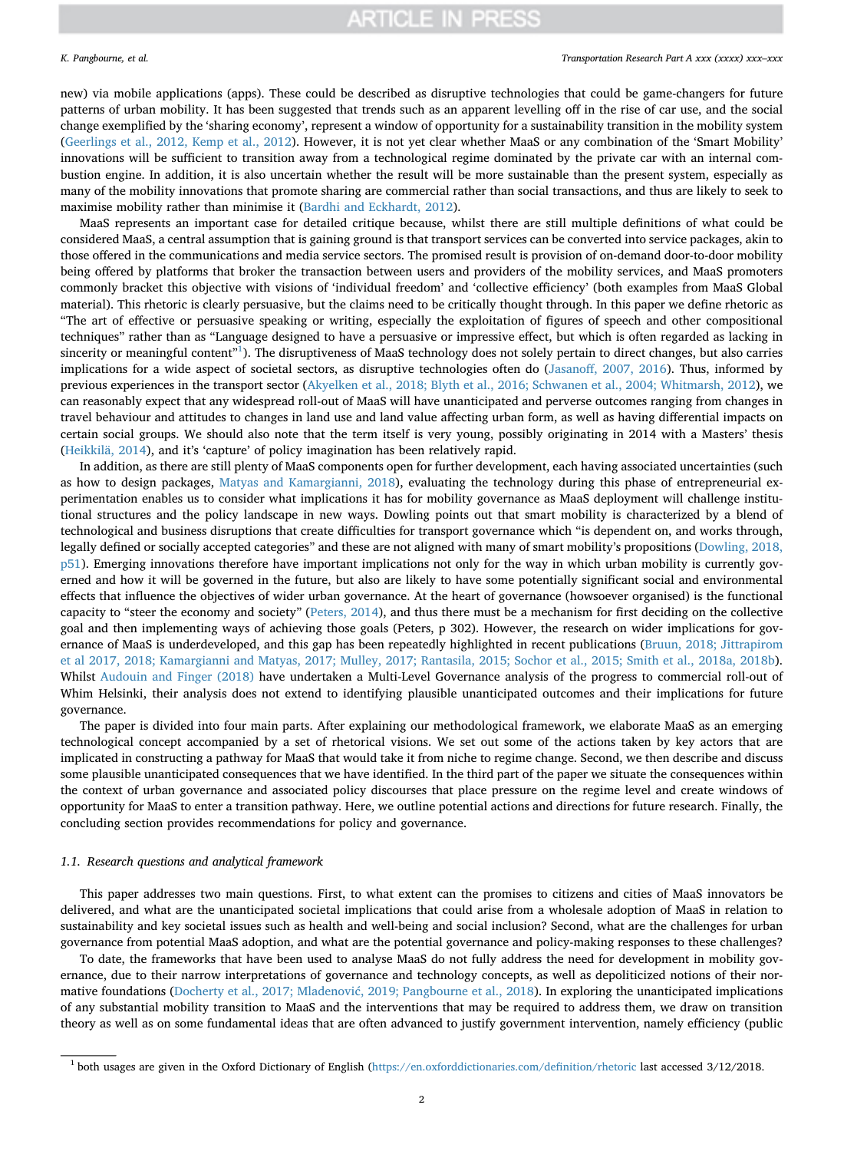### *K. Pangbourne, et al. Transportation Research Part A xxx (xxxx) xxx–xxx*

new) via mobile applications (apps). These could be described as disruptive technologies that could be game-changers for future patterns of urban mobility. It has been suggested that trends such as an apparent levelling off in the rise of car use, and the social change exemplified by the 'sharing economy', represent a window of opportunity for a sustainability transition in the mobility system [\(Geerlings et al., 2012, Kemp et al., 2012](#page-13-3)). However, it is not yet clear whether MaaS or any combination of the 'Smart Mobility' innovations will be sufficient to transition away from a technological regime dominated by the private car with an internal combustion engine. In addition, it is also uncertain whether the result will be more sustainable than the present system, especially as many of the mobility innovations that promote sharing are commercial rather than social transactions, and thus are likely to seek to maximise mobility rather than minimise it [\(Bardhi and Eckhardt, 2012](#page-13-4)).

MaaS represents an important case for detailed critique because, whilst there are still multiple definitions of what could be considered MaaS, a central assumption that is gaining ground is that transport services can be converted into service packages, akin to those offered in the communications and media service sectors. The promised result is provision of on-demand door-to-door mobility being offered by platforms that broker the transaction between users and providers of the mobility services, and MaaS promoters commonly bracket this objective with visions of 'individual freedom' and 'collective efficiency' (both examples from MaaS Global material). This rhetoric is clearly persuasive, but the claims need to be critically thought through. In this paper we define rhetoric as "The art of effective or persuasive speaking or writing, especially the exploitation of figures of speech and other compositional techniques" rather than as "Language designed to have a persuasive or impressive effect, but which is often regarded as lacking in sincerity or meaningful content"<sup>1</sup>). The disruptiveness of MaaS technology does not solely pertain to direct changes, but also carries implications for a wide aspect of societal sectors, as disruptive technologies often do [\(Jasanoff, 2007, 2016](#page-13-5)). Thus, informed by previous experiences in the transport sector [\(Akyelken et al., 2018; Blyth et al., 2016; Schwanen et al., 2004; Whitmarsh, 2012\)](#page-13-6), we can reasonably expect that any widespread roll-out of MaaS will have unanticipated and perverse outcomes ranging from changes in travel behaviour and attitudes to changes in land use and land value affecting urban form, as well as having differential impacts on certain social groups. We should also note that the term itself is very young, possibly originating in 2014 with a Masters' thesis [\(Heikkilä, 2014](#page-13-7)), and it's 'capture' of policy imagination has been relatively rapid.

In addition, as there are still plenty of MaaS components open for further development, each having associated uncertainties (such as how to design packages, [Matyas and Kamargianni, 2018](#page-14-0)), evaluating the technology during this phase of entrepreneurial experimentation enables us to consider what implications it has for mobility governance as MaaS deployment will challenge institutional structures and the policy landscape in new ways. Dowling points out that smart mobility is characterized by a blend of technological and business disruptions that create difficulties for transport governance which "is dependent on, and works through, legally defined or socially accepted categories" and these are not aligned with many of smart mobility's propositions [\(Dowling, 2018,](#page-13-8) [p51](#page-13-8)). Emerging innovations therefore have important implications not only for the way in which urban mobility is currently governed and how it will be governed in the future, but also are likely to have some potentially significant social and environmental effects that influence the objectives of wider urban governance. At the heart of governance (howsoever organised) is the functional capacity to "steer the economy and society" [\(Peters, 2014](#page-14-1)), and thus there must be a mechanism for first deciding on the collective goal and then implementing ways of achieving those goals (Peters, p 302). However, the research on wider implications for governance of MaaS is underdeveloped, and this gap has been repeatedly highlighted in recent publications [\(Bruun, 2018; Jittrapirom](#page-13-9) [et al 2017, 2018; Kamargianni and Matyas, 2017; Mulley, 2017; Rantasila, 2015; Sochor et al., 2015; Smith et al., 2018a, 2018b](#page-13-9)). Whilst [Audouin and Finger \(2018\)](#page-13-10) have undertaken a Multi-Level Governance analysis of the progress to commercial roll-out of Whim Helsinki, their analysis does not extend to identifying plausible unanticipated outcomes and their implications for future governance.

The paper is divided into four main parts. After explaining our methodological framework, we elaborate MaaS as an emerging technological concept accompanied by a set of rhetorical visions. We set out some of the actions taken by key actors that are implicated in constructing a pathway for MaaS that would take it from niche to regime change. Second, we then describe and discuss some plausible unanticipated consequences that we have identified. In the third part of the paper we situate the consequences within the context of urban governance and associated policy discourses that place pressure on the regime level and create windows of opportunity for MaaS to enter a transition pathway. Here, we outline potential actions and directions for future research. Finally, the concluding section provides recommendations for policy and governance.

### *1.1. Research questions and analytical framework*

This paper addresses two main questions. First, to what extent can the promises to citizens and cities of MaaS innovators be delivered, and what are the unanticipated societal implications that could arise from a wholesale adoption of MaaS in relation to sustainability and key societal issues such as health and well-being and social inclusion? Second, what are the challenges for urban governance from potential MaaS adoption, and what are the potential governance and policy-making responses to these challenges?

To date, the frameworks that have been used to analyse MaaS do not fully address the need for development in mobility governance, due to their narrow interpretations of governance and technology concepts, as well as depoliticized notions of their normative foundations [\(Docherty et al., 2017; Mladenović, 2019; Pangbourne et al., 2018\)](#page-13-11). In exploring the unanticipated implications of any substantial mobility transition to MaaS and the interventions that may be required to address them, we draw on transition theory as well as on some fundamental ideas that are often advanced to justify government intervention, namely efficiency (public

<span id="page-1-0"></span><sup>&</sup>lt;sup>1</sup> both usages are given in the Oxford Dictionary of English [\(https://en.oxforddictionaries.com/definition/rhetoric](https://en.oxforddictionaries.com/definition/rhetoric) last accessed 3/12/2018.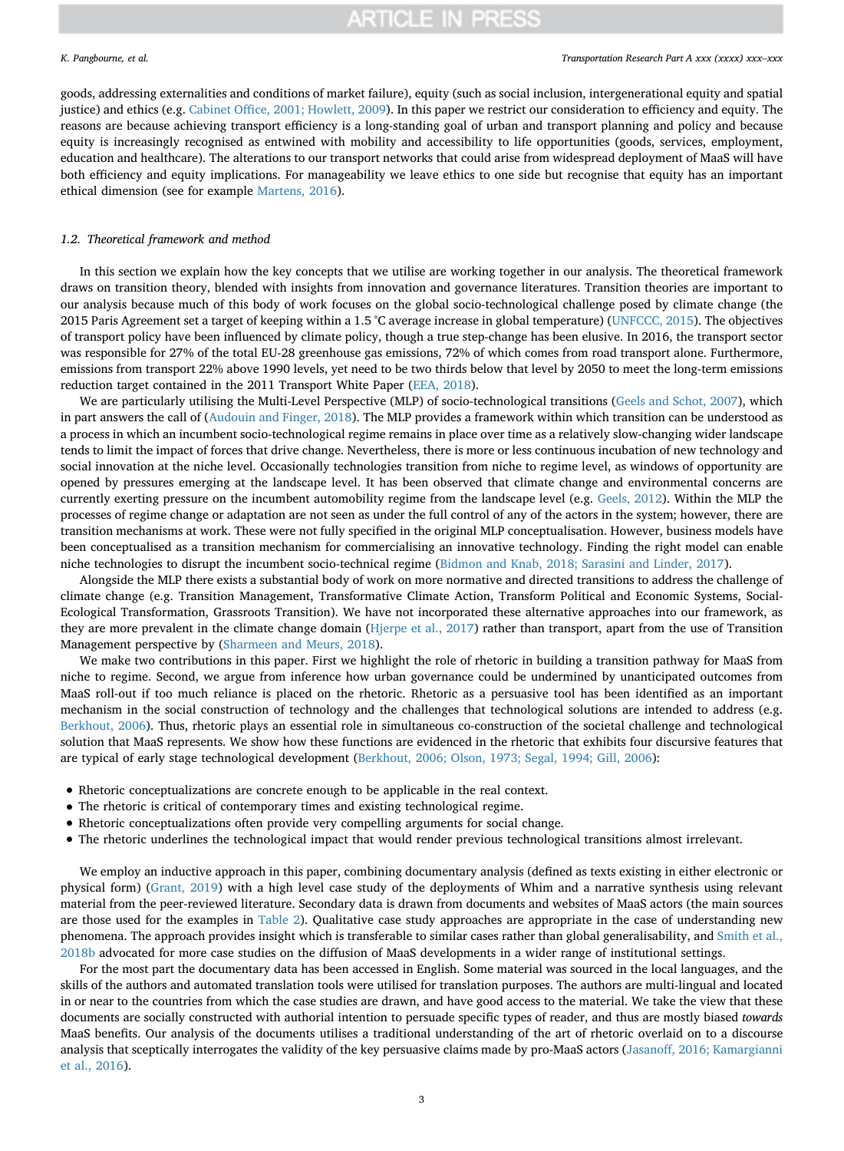goods, addressing externalities and conditions of market failure), equity (such as social inclusion, intergenerational equity and spatial justice) and ethics (e.g. [Cabinet Office, 2001; Howlett, 2009](#page-13-12)). In this paper we restrict our consideration to efficiency and equity. The reasons are because achieving transport efficiency is a long-standing goal of urban and transport planning and policy and because equity is increasingly recognised as entwined with mobility and accessibility to life opportunities (goods, services, employment, education and healthcare). The alterations to our transport networks that could arise from widespread deployment of MaaS will have both efficiency and equity implications. For manageability we leave ethics to one side but recognise that equity has an important ethical dimension (see for example [Martens, 2016](#page-14-2)).

## *1.2. Theoretical framework and method*

In this section we explain how the key concepts that we utilise are working together in our analysis. The theoretical framework draws on transition theory, blended with insights from innovation and governance literatures. Transition theories are important to our analysis because much of this body of work focuses on the global socio-technological challenge posed by climate change (the 2015 Paris Agreement set a target of keeping within a 1.5 °C average increase in global temperature) ([UNFCCC, 2015\)](#page-14-3). The objectives of transport policy have been influenced by climate policy, though a true step-change has been elusive. In 2016, the transport sector was responsible for 27% of the total EU-28 greenhouse gas emissions, 72% of which comes from road transport alone. Furthermore, emissions from transport 22% above 1990 levels, yet need to be two thirds below that level by 2050 to meet the long-term emissions reduction target contained in the 2011 Transport White Paper [\(EEA, 2018\)](#page-13-13).

We are particularly utilising the Multi-Level Perspective (MLP) of socio-technological transitions ([Geels and Schot, 2007](#page-13-14)), which in part answers the call of ([Audouin and Finger, 2018](#page-13-10)). The MLP provides a framework within which transition can be understood as a process in which an incumbent socio-technological regime remains in place over time as a relatively slow-changing wider landscape tends to limit the impact of forces that drive change. Nevertheless, there is more or less continuous incubation of new technology and social innovation at the niche level. Occasionally technologies transition from niche to regime level, as windows of opportunity are opened by pressures emerging at the landscape level. It has been observed that climate change and environmental concerns are currently exerting pressure on the incumbent automobility regime from the landscape level (e.g. [Geels, 2012](#page-13-15)). Within the MLP the processes of regime change or adaptation are not seen as under the full control of any of the actors in the system; however, there are transition mechanisms at work. These were not fully specified in the original MLP conceptualisation. However, business models have been conceptualised as a transition mechanism for commercialising an innovative technology. Finding the right model can enable niche technologies to disrupt the incumbent socio-technical regime ([Bidmon and Knab, 2018; Sarasini and Linder, 2017](#page-13-16)).

Alongside the MLP there exists a substantial body of work on more normative and directed transitions to address the challenge of climate change (e.g. Transition Management, Transformative Climate Action, Transform Political and Economic Systems, Social-Ecological Transformation, Grassroots Transition). We have not incorporated these alternative approaches into our framework, as they are more prevalent in the climate change domain [\(Hjerpe et al., 2017\)](#page-13-17) rather than transport, apart from the use of Transition Management perspective by [\(Sharmeen and Meurs, 2018](#page-14-4)).

We make two contributions in this paper. First we highlight the role of rhetoric in building a transition pathway for MaaS from niche to regime. Second, we argue from inference how urban governance could be undermined by unanticipated outcomes from MaaS roll-out if too much reliance is placed on the rhetoric. Rhetoric as a persuasive tool has been identified as an important mechanism in the social construction of technology and the challenges that technological solutions are intended to address (e.g. [Berkhout, 2006](#page-13-18)). Thus, rhetoric plays an essential role in simultaneous co-construction of the societal challenge and technological solution that MaaS represents. We show how these functions are evidenced in the rhetoric that exhibits four discursive features that are typical of early stage technological development [\(Berkhout, 2006; Olson, 1973; Segal, 1994; Gill, 2006\)](#page-13-18):

- Rhetoric conceptualizations are concrete enough to be applicable in the real context.
- The rhetoric is critical of contemporary times and existing technological regime.
- Rhetoric conceptualizations often provide very compelling arguments for social change.
- The rhetoric underlines the technological impact that would render previous technological transitions almost irrelevant.

We employ an inductive approach in this paper, combining documentary analysis (defined as texts existing in either electronic or physical form) [\(Grant, 2019\)](#page-13-19) with a high level case study of the deployments of Whim and a narrative synthesis using relevant material from the peer-reviewed literature. Secondary data is drawn from documents and websites of MaaS actors (the main sources are those used for the examples in [Table 2\)](#page-6-0). Qualitative case study approaches are appropriate in the case of understanding new phenomena. The approach provides insight which is transferable to similar cases rather than global generalisability, and [Smith et al.,](#page-14-5) [2018b](#page-14-5) advocated for more case studies on the diffusion of MaaS developments in a wider range of institutional settings.

For the most part the documentary data has been accessed in English. Some material was sourced in the local languages, and the skills of the authors and automated translation tools were utilised for translation purposes. The authors are multi-lingual and located in or near to the countries from which the case studies are drawn, and have good access to the material. We take the view that these documents are socially constructed with authorial intention to persuade specific types of reader, and thus are mostly biased *towards* MaaS benefits. Our analysis of the documents utilises a traditional understanding of the art of rhetoric overlaid on to a discourse analysis that sceptically interrogates the validity of the key persuasive claims made by pro-MaaS actors [\(Jasanoff, 2016; Kamargianni](#page-13-20) [et al., 2016\)](#page-13-20).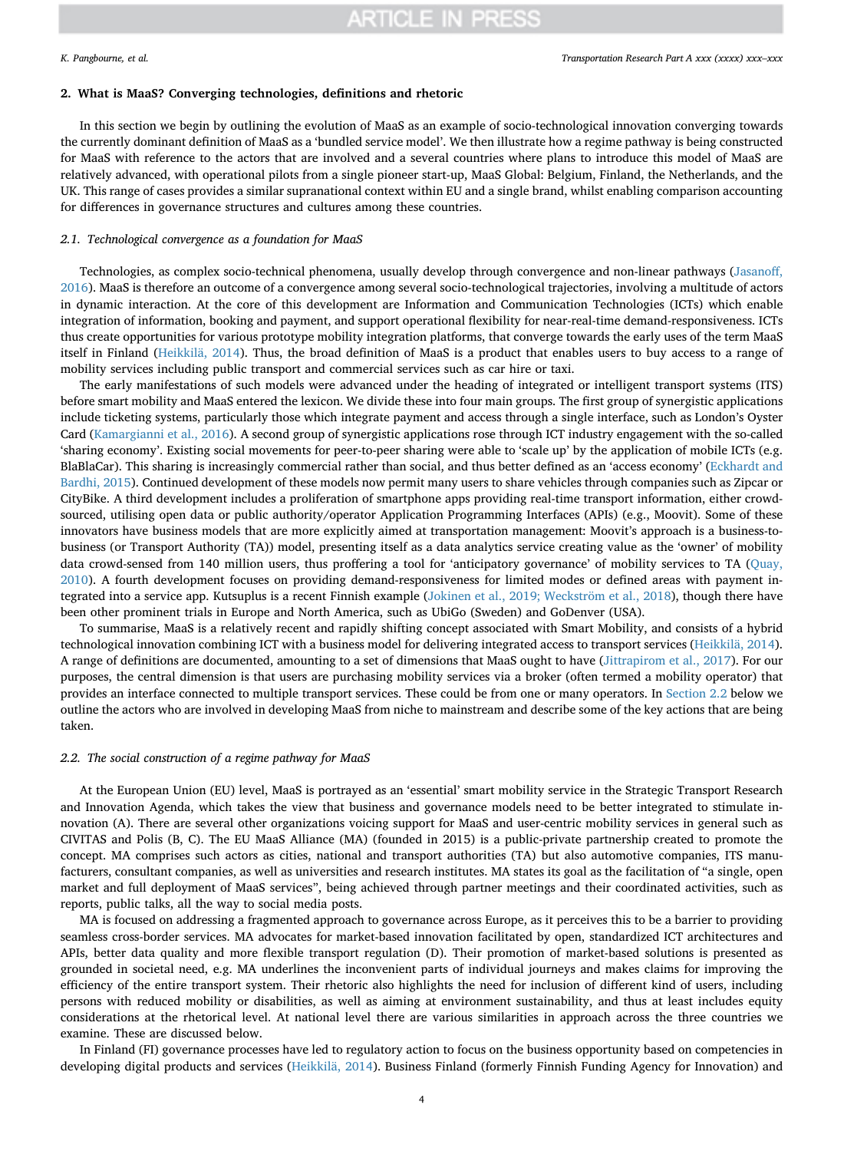## **2. What is MaaS? Converging technologies, definitions and rhetoric**

In this section we begin by outlining the evolution of MaaS as an example of socio-technological innovation converging towards the currently dominant definition of MaaS as a 'bundled service model'. We then illustrate how a regime pathway is being constructed for MaaS with reference to the actors that are involved and a several countries where plans to introduce this model of MaaS are relatively advanced, with operational pilots from a single pioneer start-up, MaaS Global: Belgium, Finland, the Netherlands, and the UK. This range of cases provides a similar supranational context within EU and a single brand, whilst enabling comparison accounting for differences in governance structures and cultures among these countries.

### *2.1. Technological convergence as a foundation for MaaS*

Technologies, as complex socio-technical phenomena, usually develop through convergence and non-linear pathways ([Jasanoff,](#page-13-20) [2016\)](#page-13-20). MaaS is therefore an outcome of a convergence among several socio-technological trajectories, involving a multitude of actors in dynamic interaction. At the core of this development are Information and Communication Technologies (ICTs) which enable integration of information, booking and payment, and support operational flexibility for near-real-time demand-responsiveness. ICTs thus create opportunities for various prototype mobility integration platforms, that converge towards the early uses of the term MaaS itself in Finland [\(Heikkilä, 2014\)](#page-13-7). Thus, the broad definition of MaaS is a product that enables users to buy access to a range of mobility services including public transport and commercial services such as car hire or taxi.

The early manifestations of such models were advanced under the heading of integrated or intelligent transport systems (ITS) before smart mobility and MaaS entered the lexicon. We divide these into four main groups. The first group of synergistic applications include ticketing systems, particularly those which integrate payment and access through a single interface, such as London's Oyster Card ([Kamargianni et al., 2016\)](#page-13-21). A second group of synergistic applications rose through ICT industry engagement with the so-called 'sharing economy'. Existing social movements for peer-to-peer sharing were able to 'scale up' by the application of mobile ICTs (e.g. BlaBlaCar). This sharing is increasingly commercial rather than social, and thus better defined as an 'access economy' [\(Eckhardt and](#page-13-22) [Bardhi, 2015\)](#page-13-22). Continued development of these models now permit many users to share vehicles through companies such as Zipcar or CityBike. A third development includes a proliferation of smartphone apps providing real-time transport information, either crowdsourced, utilising open data or public authority/operator Application Programming Interfaces (APIs) (e.g., Moovit). Some of these innovators have business models that are more explicitly aimed at transportation management: Moovit's approach is a business-tobusiness (or Transport Authority (TA)) model, presenting itself as a data analytics service creating value as the 'owner' of mobility data crowd-sensed from 140 million users, thus proffering a tool for 'anticipatory governance' of mobility services to TA [\(Quay,](#page-14-6) [2010\)](#page-14-6). A fourth development focuses on providing demand-responsiveness for limited modes or defined areas with payment integrated into a service app. Kutsuplus is a recent Finnish example [\(Jokinen et al., 2019; Weckström et al., 2018](#page-13-23)), though there have been other prominent trials in Europe and North America, such as UbiGo (Sweden) and GoDenver (USA).

To summarise, MaaS is a relatively recent and rapidly shifting concept associated with Smart Mobility, and consists of a hybrid technological innovation combining ICT with a business model for delivering integrated access to transport services [\(Heikkilä, 2014](#page-13-7)). A range of definitions are documented, amounting to a set of dimensions that MaaS ought to have ([Jittrapirom et al., 2017\)](#page-13-24). For our purposes, the central dimension is that users are purchasing mobility services via a broker (often termed a mobility operator) that provides an interface connected to multiple transport services. These could be from one or many operators. In [Section 2.2](#page-3-0) below we outline the actors who are involved in developing MaaS from niche to mainstream and describe some of the key actions that are being taken.

### <span id="page-3-0"></span>*2.2. The social construction of a regime pathway for MaaS*

At the European Union (EU) level, MaaS is portrayed as an 'essential' smart mobility service in the Strategic Transport Research and Innovation Agenda, which takes the view that business and governance models need to be better integrated to stimulate innovation (A). There are several other organizations voicing support for MaaS and user-centric mobility services in general such as CIVITAS and Polis (B, C). The EU MaaS Alliance (MA) (founded in 2015) is a public-private partnership created to promote the concept. MA comprises such actors as cities, national and transport authorities (TA) but also automotive companies, ITS manufacturers, consultant companies, as well as universities and research institutes. MA states its goal as the facilitation of "a single, open market and full deployment of MaaS services", being achieved through partner meetings and their coordinated activities, such as reports, public talks, all the way to social media posts.

MA is focused on addressing a fragmented approach to governance across Europe, as it perceives this to be a barrier to providing seamless cross-border services. MA advocates for market-based innovation facilitated by open, standardized ICT architectures and APIs, better data quality and more flexible transport regulation (D). Their promotion of market-based solutions is presented as grounded in societal need, e.g. MA underlines the inconvenient parts of individual journeys and makes claims for improving the efficiency of the entire transport system. Their rhetoric also highlights the need for inclusion of different kind of users, including persons with reduced mobility or disabilities, as well as aiming at environment sustainability, and thus at least includes equity considerations at the rhetorical level. At national level there are various similarities in approach across the three countries we examine. These are discussed below.

In Finland (FI) governance processes have led to regulatory action to focus on the business opportunity based on competencies in developing digital products and services [\(Heikkilä, 2014\)](#page-13-7). Business Finland (formerly Finnish Funding Agency for Innovation) and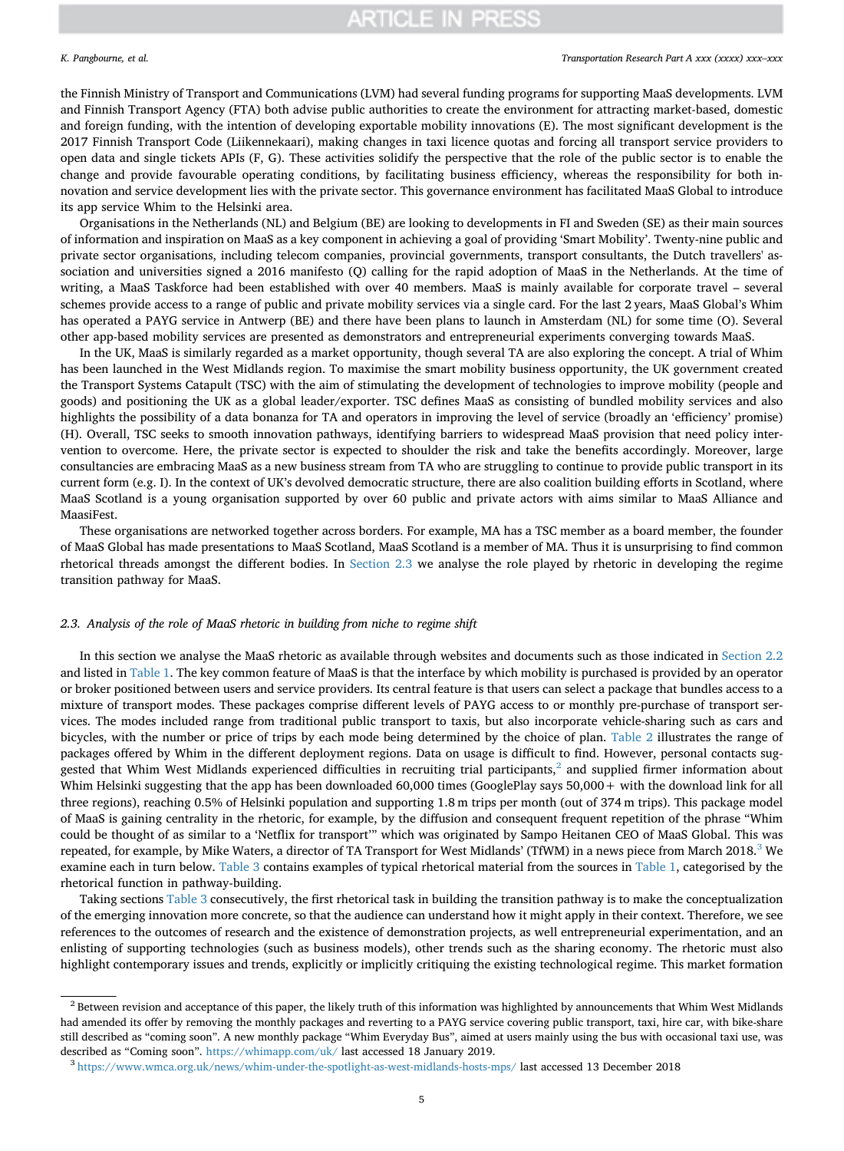### *K. Pangbourne, et al. Transportation Research Part A xxx (xxxx) xxx–xxx*

the Finnish Ministry of Transport and Communications (LVM) had several funding programs for supporting MaaS developments. LVM and Finnish Transport Agency (FTA) both advise public authorities to create the environment for attracting market-based, domestic and foreign funding, with the intention of developing exportable mobility innovations (E). The most significant development is the 2017 Finnish Transport Code (Liikennekaari), making changes in taxi licence quotas and forcing all transport service providers to open data and single tickets APIs (F, G). These activities solidify the perspective that the role of the public sector is to enable the change and provide favourable operating conditions, by facilitating business efficiency, whereas the responsibility for both innovation and service development lies with the private sector. This governance environment has facilitated MaaS Global to introduce its app service Whim to the Helsinki area.

Organisations in the Netherlands (NL) and Belgium (BE) are looking to developments in FI and Sweden (SE) as their main sources of information and inspiration on MaaS as a key component in achieving a goal of providing 'Smart Mobility'. Twenty-nine public and private sector organisations, including telecom companies, provincial governments, transport consultants, the Dutch travellers' association and universities signed a 2016 manifesto (Q) calling for the rapid adoption of MaaS in the Netherlands. At the time of writing, a MaaS Taskforce had been established with over 40 members. MaaS is mainly available for corporate travel – several schemes provide access to a range of public and private mobility services via a single card. For the last 2 years, MaaS Global's Whim has operated a PAYG service in Antwerp (BE) and there have been plans to launch in Amsterdam (NL) for some time (O). Several other app-based mobility services are presented as demonstrators and entrepreneurial experiments converging towards MaaS.

In the UK, MaaS is similarly regarded as a market opportunity, though several TA are also exploring the concept. A trial of Whim has been launched in the West Midlands region. To maximise the smart mobility business opportunity, the UK government created the Transport Systems Catapult (TSC) with the aim of stimulating the development of technologies to improve mobility (people and goods) and positioning the UK as a global leader/exporter. TSC defines MaaS as consisting of bundled mobility services and also highlights the possibility of a data bonanza for TA and operators in improving the level of service (broadly an 'efficiency' promise) (H). Overall, TSC seeks to smooth innovation pathways, identifying barriers to widespread MaaS provision that need policy intervention to overcome. Here, the private sector is expected to shoulder the risk and take the benefits accordingly. Moreover, large consultancies are embracing MaaS as a new business stream from TA who are struggling to continue to provide public transport in its current form (e.g. I). In the context of UK's devolved democratic structure, there are also coalition building efforts in Scotland, where MaaS Scotland is a young organisation supported by over 60 public and private actors with aims similar to MaaS Alliance and MaasiFest.

These organisations are networked together across borders. For example, MA has a TSC member as a board member, the founder of MaaS Global has made presentations to MaaS Scotland, MaaS Scotland is a member of MA. Thus it is unsurprising to find common rhetorical threads amongst the different bodies. In [Section 2.3](#page-4-0) we analyse the role played by rhetoric in developing the regime transition pathway for MaaS.

## <span id="page-4-0"></span>*2.3. Analysis of the role of MaaS rhetoric in building from niche to regime shift*

In this section we analyse the MaaS rhetoric as available through websites and documents such as those indicated in [Section 2.2](#page-3-0) and listed in [Table 1.](#page-5-0) The key common feature of MaaS is that the interface by which mobility is purchased is provided by an operator or broker positioned between users and service providers. Its central feature is that users can select a package that bundles access to a mixture of transport modes. These packages comprise different levels of PAYG access to or monthly pre-purchase of transport services. The modes included range from traditional public transport to taxis, but also incorporate vehicle-sharing such as cars and bicycles, with the number or price of trips by each mode being determined by the choice of plan. [Table 2](#page-6-0) illustrates the range of packages offered by Whim in the different deployment regions. Data on usage is difficult to find. However, personal contacts sug-gested that Whim West Midlands experienced difficulties in recruiting trial participants,<sup>[2](#page-4-1)</sup> and supplied firmer information about Whim Helsinki suggesting that the app has been downloaded 60,000 times (GooglePlay says 50,000+ with the download link for all three regions), reaching 0.5% of Helsinki population and supporting 1.8 m trips per month (out of 374 m trips). This package model of MaaS is gaining centrality in the rhetoric, for example, by the diffusion and consequent frequent repetition of the phrase "Whim could be thought of as similar to a 'Netflix for transport'" which was originated by Sampo Heitanen CEO of MaaS Global. This was repeated, for example, by Mike Waters, a director of TA Transport for West Midlands' (TfWM) in a news piece from March 2018.<sup>[3](#page-4-2)</sup> We examine each in turn below. [Table 3](#page-7-0) contains examples of typical rhetorical material from the sources in [Table 1](#page-5-0), categorised by the rhetorical function in pathway-building.

Taking sections [Table 3](#page-7-0) consecutively, the first rhetorical task in building the transition pathway is to make the conceptualization of the emerging innovation more concrete, so that the audience can understand how it might apply in their context. Therefore, we see references to the outcomes of research and the existence of demonstration projects, as well entrepreneurial experimentation, and an enlisting of supporting technologies (such as business models), other trends such as the sharing economy. The rhetoric must also highlight contemporary issues and trends, explicitly or implicitly critiquing the existing technological regime. This market formation

<span id="page-4-1"></span> $^2$  Between revision and acceptance of this paper, the likely truth of this information was highlighted by announcements that Whim West Midlands had amended its offer by removing the monthly packages and reverting to a PAYG service covering public transport, taxi, hire car, with bike-share still described as "coming soon". A new monthly package "Whim Everyday Bus", aimed at users mainly using the bus with occasional taxi use, was described as "Coming soon". <https://whimapp.com/uk/> last accessed 18 January 2019.

<span id="page-4-2"></span> $3$  <https://www.wmca.org.uk/news/whim-under-the-spotlight-as-west-midlands-hosts-mps/> last accessed 13 December 2018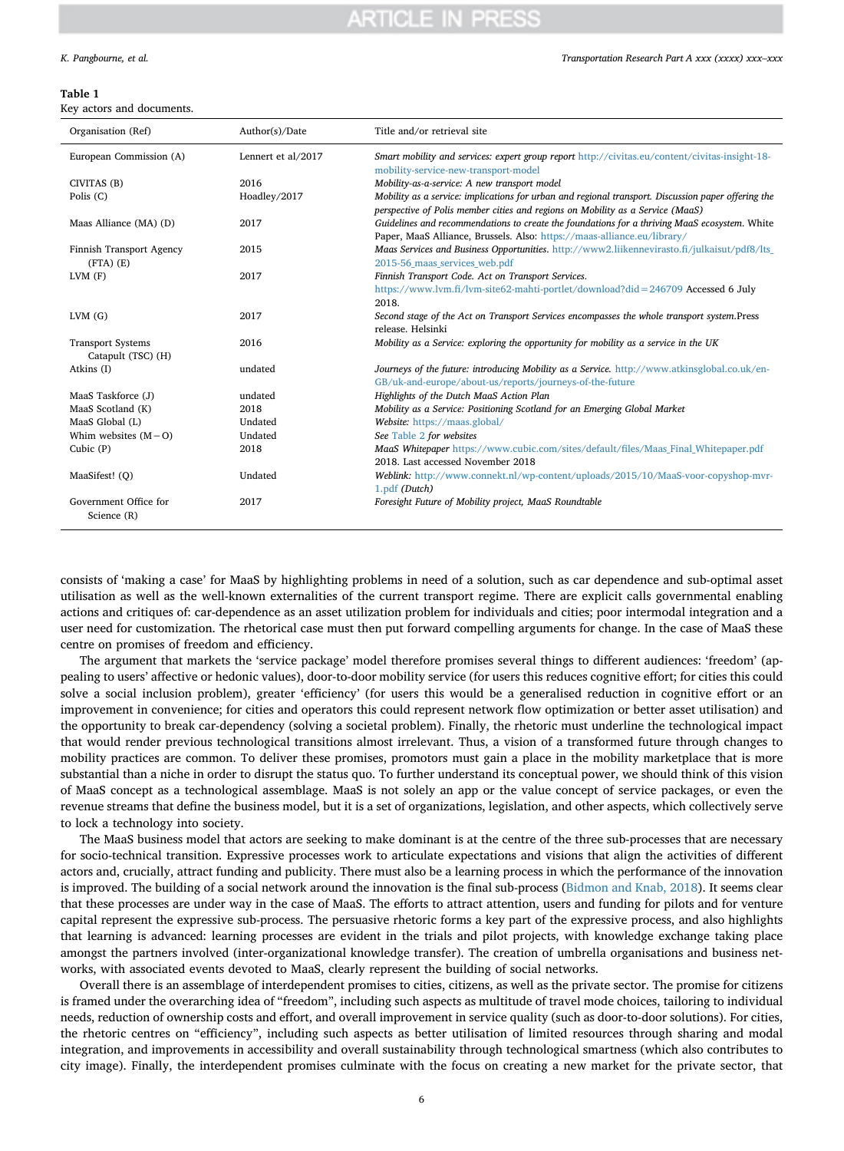## <span id="page-5-0"></span>**Table 1**

Key actors and documents.

| Organisation (Ref)                             | Author(s)/Date     | Title and/or retrieval site                                                                                                                                                           |
|------------------------------------------------|--------------------|---------------------------------------------------------------------------------------------------------------------------------------------------------------------------------------|
| European Commission (A)                        | Lennert et al/2017 | Smart mobility and services: expert group report http://civitas.eu/content/civitas-insight-18-<br>mobility-service-new-transport-model                                                |
| CIVITAS (B)                                    | 2016               | Mobility-as-a-service: A new transport model                                                                                                                                          |
| Polis (C)                                      | Hoadley/2017       | Mobility as a service: implications for urban and regional transport. Discussion paper offering the<br>perspective of Polis member cities and regions on Mobility as a Service (MaaS) |
| Maas Alliance (MA) (D)                         | 2017               | Guidelines and recommendations to create the foundations for a thriving MaaS ecosystem. White<br>Paper, MaaS Alliance, Brussels. Also: https://maas-alliance.eu/library/              |
| Finnish Transport Agency<br>$(FTA)$ $(E)$      | 2015               | Maas Services and Business Opportunities. http://www2.liikennevirasto.fi/julkaisut/pdf8/lts_<br>2015-56 maas services web.pdf                                                         |
| LVM(F)                                         | 2017               | Finnish Transport Code. Act on Transport Services.                                                                                                                                    |
|                                                |                    | https://www.lvm.fi/lvm-site62-mahti-portlet/download?did=246709 Accessed 6 July<br>2018.                                                                                              |
| LVM(G)                                         | 2017               | Second stage of the Act on Transport Services encompasses the whole transport system.Press<br>release. Helsinki                                                                       |
| <b>Transport Systems</b><br>Catapult (TSC) (H) | 2016               | Mobility as a Service: exploring the opportunity for mobility as a service in the UK                                                                                                  |
| Atkins (I)                                     | undated            | Journeys of the future: introducing Mobility as a Service. http://www.atkinsglobal.co.uk/en-<br>GB/uk-and-europe/about-us/reports/journeys-of-the-future                              |
| MaaS Taskforce (J)                             | undated            | Highlights of the Dutch MaaS Action Plan                                                                                                                                              |
| MaaS Scotland (K)                              | 2018               | Mobility as a Service: Positioning Scotland for an Emerging Global Market                                                                                                             |
| MaaS Global (L)                                | Undated            | Website: https://maas.global/                                                                                                                                                         |
| Whim websites $(M - O)$                        | Undated            | See Table 2 for websites                                                                                                                                                              |
| Cubic $(P)$                                    | 2018               | MaaS Whitepaper https://www.cubic.com/sites/default/files/Maas Final Whitepaper.pdf                                                                                                   |
|                                                |                    | 2018. Last accessed November 2018                                                                                                                                                     |
| MaaSifest! (O)                                 | Undated            | Weblink: http://www.connekt.nl/wp-content/uploads/2015/10/MaaS-voor-copyshop-mvr-<br>1.pdf (Dutch)                                                                                    |
| Government Office for<br>Science (R)           | 2017               | Foresight Future of Mobility project, MaaS Roundtable                                                                                                                                 |

consists of 'making a case' for MaaS by highlighting problems in need of a solution, such as car dependence and sub-optimal asset utilisation as well as the well-known externalities of the current transport regime. There are explicit calls governmental enabling actions and critiques of: car-dependence as an asset utilization problem for individuals and cities; poor intermodal integration and a user need for customization. The rhetorical case must then put forward compelling arguments for change. In the case of MaaS these centre on promises of freedom and efficiency.

The argument that markets the 'service package' model therefore promises several things to different audiences: 'freedom' (appealing to users' affective or hedonic values), door-to-door mobility service (for users this reduces cognitive effort; for cities this could solve a social inclusion problem), greater 'efficiency' (for users this would be a generalised reduction in cognitive effort or an improvement in convenience; for cities and operators this could represent network flow optimization or better asset utilisation) and the opportunity to break car-dependency (solving a societal problem). Finally, the rhetoric must underline the technological impact that would render previous technological transitions almost irrelevant. Thus, a vision of a transformed future through changes to mobility practices are common. To deliver these promises, promotors must gain a place in the mobility marketplace that is more substantial than a niche in order to disrupt the status quo. To further understand its conceptual power, we should think of this vision of MaaS concept as a technological assemblage. MaaS is not solely an app or the value concept of service packages, or even the revenue streams that define the business model, but it is a set of organizations, legislation, and other aspects, which collectively serve to lock a technology into society.

The MaaS business model that actors are seeking to make dominant is at the centre of the three sub-processes that are necessary for socio-technical transition. Expressive processes work to articulate expectations and visions that align the activities of different actors and, crucially, attract funding and publicity. There must also be a learning process in which the performance of the innovation is improved. The building of a social network around the innovation is the final sub-process [\(Bidmon and Knab, 2018](#page-13-16)). It seems clear that these processes are under way in the case of MaaS. The efforts to attract attention, users and funding for pilots and for venture capital represent the expressive sub-process. The persuasive rhetoric forms a key part of the expressive process, and also highlights that learning is advanced: learning processes are evident in the trials and pilot projects, with knowledge exchange taking place amongst the partners involved (inter-organizational knowledge transfer). The creation of umbrella organisations and business networks, with associated events devoted to MaaS, clearly represent the building of social networks.

Overall there is an assemblage of interdependent promises to cities, citizens, as well as the private sector. The promise for citizens is framed under the overarching idea of "freedom", including such aspects as multitude of travel mode choices, tailoring to individual needs, reduction of ownership costs and effort, and overall improvement in service quality (such as door-to-door solutions). For cities, the rhetoric centres on "efficiency", including such aspects as better utilisation of limited resources through sharing and modal integration, and improvements in accessibility and overall sustainability through technological smartness (which also contributes to city image). Finally, the interdependent promises culminate with the focus on creating a new market for the private sector, that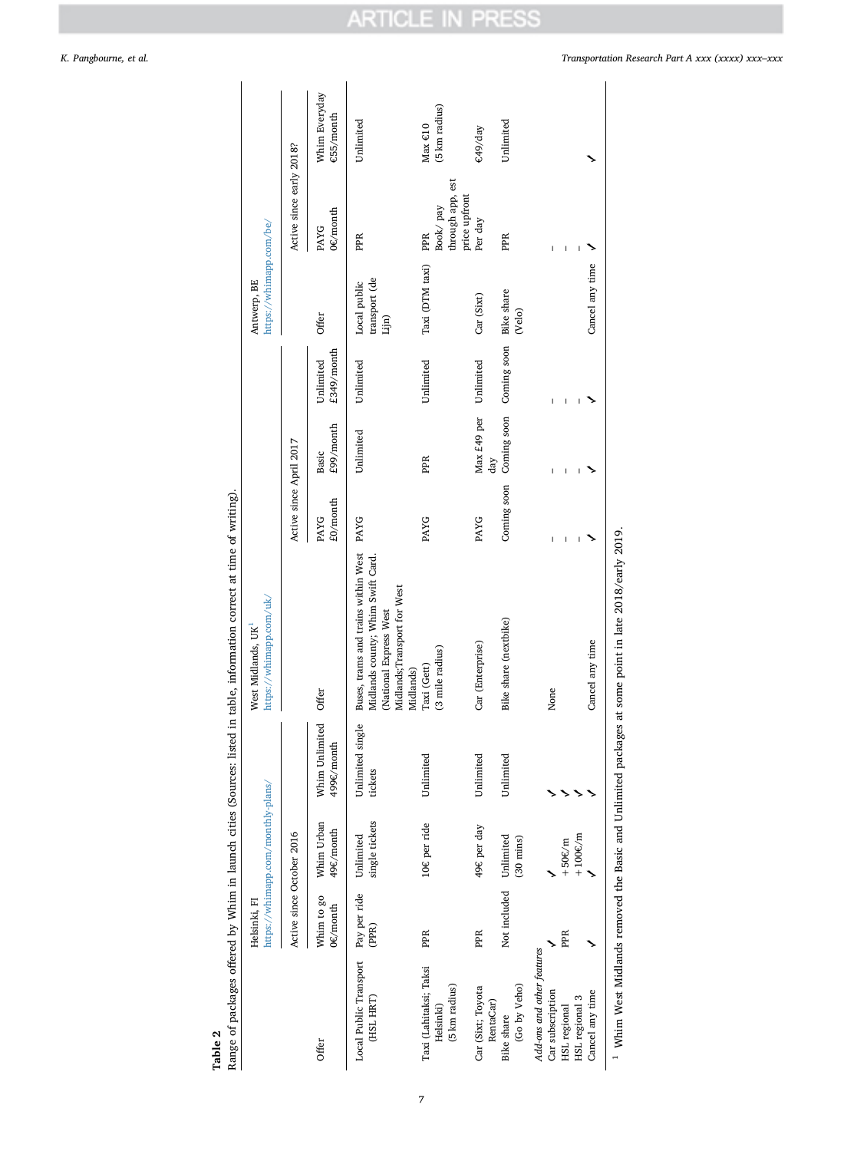<span id="page-6-0"></span>

| Table 2                                                                          |                           |                                          |                                           | Range of packages offered by Whim in launch cities (Sources: listed in table, information correct at time of writing).                         |                         |                    |                         |                                                  |                                                      |                            |
|----------------------------------------------------------------------------------|---------------------------|------------------------------------------|-------------------------------------------|------------------------------------------------------------------------------------------------------------------------------------------------|-------------------------|--------------------|-------------------------|--------------------------------------------------|------------------------------------------------------|----------------------------|
|                                                                                  | Helsinki, FI              | https://whimapp.com/monthly-plans/       |                                           | https://whimapp.com/uk/<br>West Midlands, UK <sup>1</sup>                                                                                      |                         |                    |                         | https://whimapp.com/be/<br>Antwerp, BE           |                                                      |                            |
|                                                                                  | Active since October 2016 |                                          |                                           |                                                                                                                                                | Active since April 2017 |                    |                         |                                                  | Active since early 2018?                             |                            |
| Offer                                                                            | Whim to go<br>06/month    | Whim Urban<br>49€/month                  | Whim Unlimited<br>499 <sub>€</sub> /month | Offer                                                                                                                                          | £0/month<br>PAYG        | £99/month<br>Basic | £349/month<br>Unlimited | Offer                                            | 0€/month<br>PAYG                                     | Whim Everyday<br>€55/month |
| Local Public Transport Pay per ride<br>(HSL HRT)                                 | (PPR)                     | single tickets<br>Unlimited              | Unlimited single<br>tickets               | Buses, trams and trains within West<br>Midlands county; Whim Swift Card.<br>Midlands;Transport for West<br>(National Express West<br>Midlands) | PAYG                    | Unlimited          | Unlimited               | transport (de<br>Local public<br>$\mathrm{Lijn}$ | PPR                                                  | Unlimited                  |
| Taxi (Lahitaksi; Taksi<br>(5 km radius)<br>Helsinki)                             | PPR                       | 10€ per ride                             | Unlimited                                 | (3 mile radius)<br>Taxi (Gett)                                                                                                                 | PAYG                    | PPR                | Unlimited               | Taxi (DTM taxi)                                  | through app, est<br>price upfront<br>Book/pay<br>PPR | (5 km radius)<br>Max 610   |
| Car (Sixt; Toyota<br>RentaCar)                                                   | PPR                       | 49€ per day                              | Unlimited                                 | Car (Enterprise)                                                                                                                               | PAYG                    | Max £49 per<br>day | Unlimited               | Car (Sixt)                                       | Per day                                              | €49/day                    |
| (Go by Veho)<br>Bike share                                                       | Not included Unlimited    | $(30 \text{ mins})$                      | Unlimited                                 | Bike share (nextbike)                                                                                                                          | Coming soon             | Coming soon        | Coming soon             | Bike share<br>(Velo)                             | PPR                                                  | Unlimited                  |
| Add-ons and other features<br>Car subscription<br>HSL regional 3<br>HSL regional | PPR                       | $+100$ $\epsilon/m$<br>$+50$ $\times$ /m |                                           | None                                                                                                                                           |                         |                    | Ï<br>Ï                  |                                                  |                                                      |                            |
| Cancel any time                                                                  |                           |                                          |                                           | Cancel any time                                                                                                                                |                         |                    |                         | Cancel any time                                  |                                                      |                            |

<sup>1</sup> Whim West Midlands removed the Basic and Unlimited packages at some point in late 2018/early 2019. Whim West Midlands removed the Basic and Unlimited packages at some point in late 2018/early 2019.

# <span id="page-6-1"></span>**ARTICLE IN PRESS**

*K. Pangbourne, et al. Transportation Research Part A xxx (xxxx) xxx–xxx*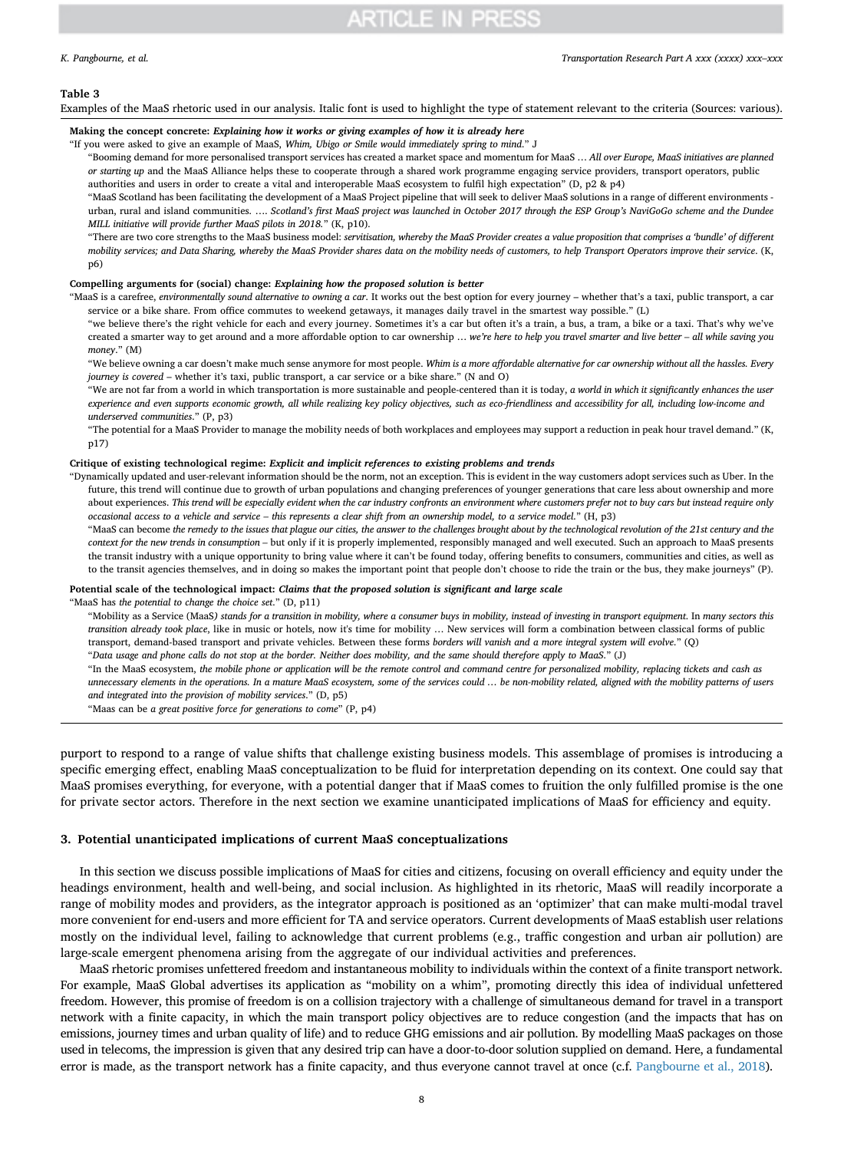### *K. Pangbourne, et al. Transportation Research Part A xxx (xxxx) xxx–xxx*

### <span id="page-7-0"></span>**Table 3**

Examples of the MaaS rhetoric used in our analysis. Italic font is used to highlight the type of statement relevant to the criteria (Sources: various).

## **Making the concept concrete:** *Explaining how it works or giving examples of how it is already here*

"If you were asked to give an example of MaaS, *Whim, Ubigo or Smile would immediately spring to mind*." J

"Booming demand for more personalised transport services has created a market space and momentum for MaaS … *All over Europe, MaaS initiatives are planned or starting up* and the MaaS Alliance helps these to cooperate through a shared work programme engaging service providers, transport operators, public authorities and users in order to create a vital and interoperable MaaS ecosystem to fulfil high expectation" (D, p2 & p4)

"MaaS Scotland has been facilitating the development of a MaaS Project pipeline that will seek to deliver MaaS solutions in a range of different environments urban, rural and island communities. …. *Scotland's first MaaS project was launched in October 2017 through the ESP Group's NaviGoGo scheme and the Dundee MILL initiative will provide further MaaS pilots in 2018.*" (K, p10).

"There are two core strengths to the MaaS business model: *servitisation, whereby the MaaS Provider creates a value proposition that comprises a 'bundle' of different mobility services; and Data Sharing, whereby the MaaS Provider shares data on the mobility needs of customers, to help Transport Operators improve their service*. (K, p6)

### **Compelling arguments for (social) change:** *Explaining how the proposed solution is better*

"MaaS is a carefree, *environmentally sound alternative to owning a car*. It works out the best option for every journey – whether that's a taxi, public transport, a car service or a bike share. From office commutes to weekend getaways, it manages daily travel in the smartest way possible." (L)

"we believe there's the right vehicle for each and every journey. Sometimes it's a car but often it's a train, a bus, a tram, a bike or a taxi. That's why we've created a smarter way to get around and a more affordable option to car ownership … *we're here to help you travel smarter and live better – all while saving you money*." (M)

"We believe owning a car doesn't make much sense anymore for most people. *Whim is a more affordable alternative for car ownership without all the hassles. Every journey is covered* – whether it's taxi, public transport, a car service or a bike share." (N and O)

"We are not far from a world in which transportation is more sustainable and people-centered than it is today, *a world in which it significantly enhances the user experience and even supports economic growth, all while realizing key policy objectives, such as eco-friendliness and accessibility for all, including low-income and underserved communities*." (P, p3)

"The potential for a MaaS Provider to manage the mobility needs of both workplaces and employees may support a reduction in peak hour travel demand." (K, p17)

### **Critique of existing technological regime:** *Explicit and implicit references to existing problems and trends*

"Dynamically updated and user-relevant information should be the norm, not an exception. This is evident in the way customers adopt services such as Uber. In the future, this trend will continue due to growth of urban populations and changing preferences of younger generations that care less about ownership and more about experiences. *This trend will be especially evident when the car industry confronts an environment where customers prefer not to buy cars but instead require only occasional access to a vehicle and service – this represents a clear shift from an ownership model, to a service model*." (H, p3)

"MaaS can become *the remedy to the issues that plague our cities, the answer to the challenges brought about by the technological revolution of the 21st century and the context for the new trends in consumption –* but only if it is properly implemented, responsibly managed and well executed. Such an approach to MaaS presents the transit industry with a unique opportunity to bring value where it can't be found today, offering benefits to consumers, communities and cities, as well as to the transit agencies themselves, and in doing so makes the important point that people don't choose to ride the train or the bus, they make journeys" (P).

### **Potential scale of the technological impact:** *Claims that the proposed solution is significant and large scale*

"MaaS has *the potential to change the choice set*." (D, p11)

"Mobility as a Service (MaaS*) stands for a transition in mobility, where a consumer buys in mobility, instead of investing in transport equipment*. In *many sectors this transition already took place*, like in music or hotels, now it's time for mobility … New services will form a combination between classical forms of public transport, demand-based transport and private vehicles. Between these forms *borders will vanish and a more integral system will evolve*." (Q) "*Data usage and phone calls do not stop at the border. Neither does mobility, and the same should therefore apply to MaaS*." (J)

"In the MaaS ecosystem, *the mobile phone or application will be the remote control and command centre for personalized mobility, replacing tickets and cash as unnecessary elements in the operations. In a mature MaaS ecosystem, some of the services could … be non-mobility related, aligned with the mobility patterns of users and integrated into the provision of mobility services*." (D, p5)

"Maas can be *a great positive force for generations to come*" (P, p4)

purport to respond to a range of value shifts that challenge existing business models. This assemblage of promises is introducing a specific emerging effect, enabling MaaS conceptualization to be fluid for interpretation depending on its context. One could say that MaaS promises everything, for everyone, with a potential danger that if MaaS comes to fruition the only fulfilled promise is the one for private sector actors. Therefore in the next section we examine unanticipated implications of MaaS for efficiency and equity.

## <span id="page-7-1"></span>**3. Potential unanticipated implications of current MaaS conceptualizations**

In this section we discuss possible implications of MaaS for cities and citizens, focusing on overall efficiency and equity under the headings environment, health and well-being, and social inclusion. As highlighted in its rhetoric, MaaS will readily incorporate a range of mobility modes and providers, as the integrator approach is positioned as an 'optimizer' that can make multi-modal travel more convenient for end-users and more efficient for TA and service operators. Current developments of MaaS establish user relations mostly on the individual level, failing to acknowledge that current problems (e.g., traffic congestion and urban air pollution) are large-scale emergent phenomena arising from the aggregate of our individual activities and preferences.

MaaS rhetoric promises unfettered freedom and instantaneous mobility to individuals within the context of a finite transport network. For example, MaaS Global advertises its application as "mobility on a whim", promoting directly this idea of individual unfettered freedom. However, this promise of freedom is on a collision trajectory with a challenge of simultaneous demand for travel in a transport network with a finite capacity, in which the main transport policy objectives are to reduce congestion (and the impacts that has on emissions, journey times and urban quality of life) and to reduce GHG emissions and air pollution. By modelling MaaS packages on those used in telecoms, the impression is given that any desired trip can have a door-to-door solution supplied on demand. Here, a fundamental error is made, as the transport network has a finite capacity, and thus everyone cannot travel at once (c.f. [Pangbourne et al., 2018\)](#page-14-7).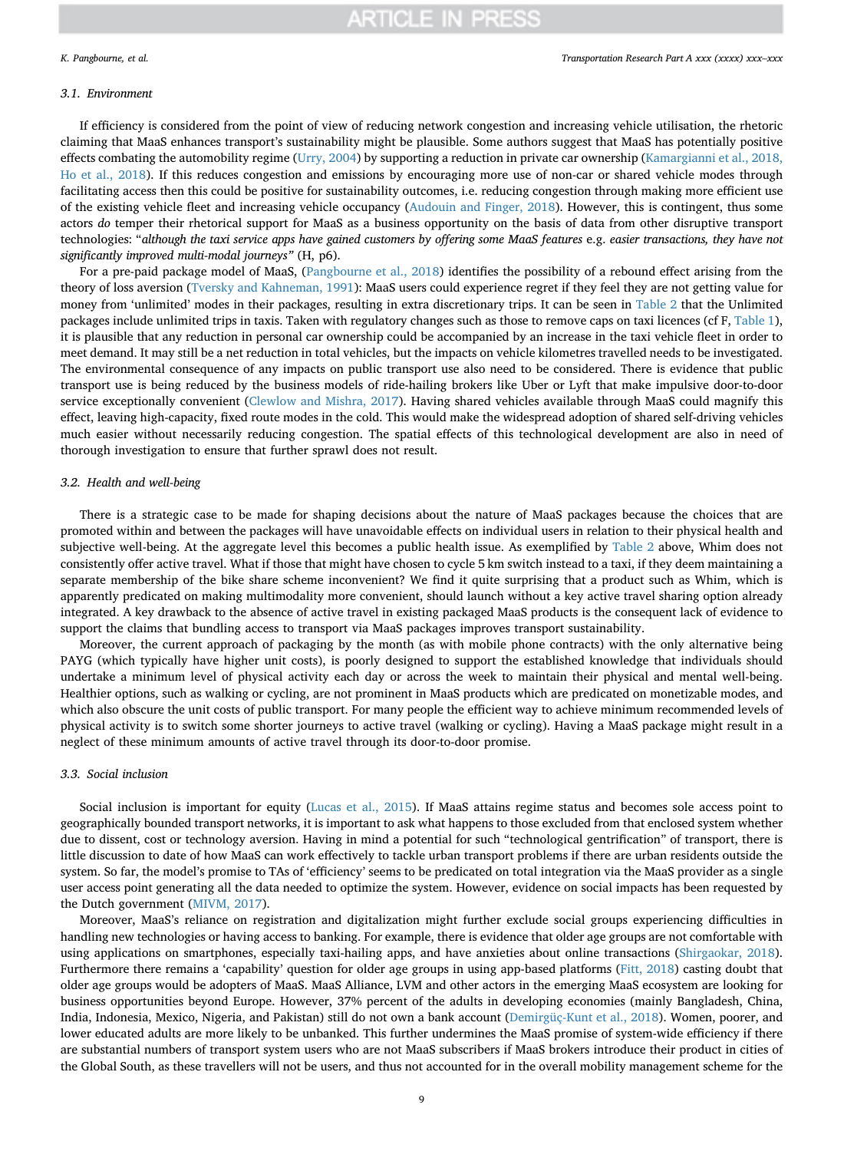### *K. Pangbourne, et al. Transportation Research Part A xxx (xxxx) xxx–xxx*

## *3.1. Environment*

If efficiency is considered from the point of view of reducing network congestion and increasing vehicle utilisation, the rhetoric claiming that MaaS enhances transport's sustainability might be plausible. Some authors suggest that MaaS has potentially positive effects combating the automobility regime ([Urry, 2004](#page-14-8)) by supporting a reduction in private car ownership ([Kamargianni et al., 2018,](#page-13-25) [Ho et al., 2018](#page-13-25)). If this reduces congestion and emissions by encouraging more use of non-car or shared vehicle modes through facilitating access then this could be positive for sustainability outcomes, i.e. reducing congestion through making more efficient use of the existing vehicle fleet and increasing vehicle occupancy [\(Audouin and Finger, 2018](#page-13-10)). However, this is contingent, thus some actors *do* temper their rhetorical support for MaaS as a business opportunity on the basis of data from other disruptive transport technologies: "*although the taxi service apps have gained customers by offering some MaaS features* e.g. *easier transactions, they have not significantly improved multi-modal journeys"* (H, p6).

For a pre-paid package model of MaaS, ([Pangbourne et al., 2018\)](#page-14-7) identifies the possibility of a rebound effect arising from the theory of loss aversion [\(Tversky and Kahneman, 1991](#page-14-9)): MaaS users could experience regret if they feel they are not getting value for money from 'unlimited' modes in their packages, resulting in extra discretionary trips. It can be seen in [Table 2](#page-6-0) that the Unlimited packages include unlimited trips in taxis. Taken with regulatory changes such as those to remove caps on taxi licences (cf F, [Table 1\)](#page-5-0), it is plausible that any reduction in personal car ownership could be accompanied by an increase in the taxi vehicle fleet in order to meet demand. It may still be a net reduction in total vehicles, but the impacts on vehicle kilometres travelled needs to be investigated. The environmental consequence of any impacts on public transport use also need to be considered. There is evidence that public transport use is being reduced by the business models of ride-hailing brokers like Uber or Lyft that make impulsive door-to-door service exceptionally convenient ([Clewlow and Mishra, 2017](#page-13-26)). Having shared vehicles available through MaaS could magnify this effect, leaving high-capacity, fixed route modes in the cold. This would make the widespread adoption of shared self-driving vehicles much easier without necessarily reducing congestion. The spatial effects of this technological development are also in need of thorough investigation to ensure that further sprawl does not result.

## *3.2. Health and well-being*

There is a strategic case to be made for shaping decisions about the nature of MaaS packages because the choices that are promoted within and between the packages will have unavoidable effects on individual users in relation to their physical health and subjective well-being. At the aggregate level this becomes a public health issue. As exemplified by [Table 2](#page-6-0) above, Whim does not consistently offer active travel. What if those that might have chosen to cycle 5 km switch instead to a taxi, if they deem maintaining a separate membership of the bike share scheme inconvenient? We find it quite surprising that a product such as Whim, which is apparently predicated on making multimodality more convenient, should launch without a key active travel sharing option already integrated. A key drawback to the absence of active travel in existing packaged MaaS products is the consequent lack of evidence to support the claims that bundling access to transport via MaaS packages improves transport sustainability.

Moreover, the current approach of packaging by the month (as with mobile phone contracts) with the only alternative being PAYG (which typically have higher unit costs), is poorly designed to support the established knowledge that individuals should undertake a minimum level of physical activity each day or across the week to maintain their physical and mental well-being. Healthier options, such as walking or cycling, are not prominent in MaaS products which are predicated on monetizable modes, and which also obscure the unit costs of public transport. For many people the efficient way to achieve minimum recommended levels of physical activity is to switch some shorter journeys to active travel (walking or cycling). Having a MaaS package might result in a neglect of these minimum amounts of active travel through its door-to-door promise.

### *3.3. Social inclusion*

Social inclusion is important for equity ([Lucas et al., 2015\)](#page-13-27). If MaaS attains regime status and becomes sole access point to geographically bounded transport networks, it is important to ask what happens to those excluded from that enclosed system whether due to dissent, cost or technology aversion. Having in mind a potential for such "technological gentrification" of transport, there is little discussion to date of how MaaS can work effectively to tackle urban transport problems if there are urban residents outside the system. So far, the model's promise to TAs of 'efficiency' seems to be predicated on total integration via the MaaS provider as a single user access point generating all the data needed to optimize the system. However, evidence on social impacts has been requested by the Dutch government [\(MIVM, 2017](#page-14-10)).

Moreover, MaaS's reliance on registration and digitalization might further exclude social groups experiencing difficulties in handling new technologies or having access to banking. For example, there is evidence that older age groups are not comfortable with using applications on smartphones, especially taxi-hailing apps, and have anxieties about online transactions [\(Shirgaokar, 2018](#page-14-11)). Furthermore there remains a 'capability' question for older age groups in using app-based platforms [\(Fitt, 2018](#page-13-28)) casting doubt that older age groups would be adopters of MaaS. MaaS Alliance, LVM and other actors in the emerging MaaS ecosystem are looking for business opportunities beyond Europe. However, 37% percent of the adults in developing economies (mainly Bangladesh, China, India, Indonesia, Mexico, Nigeria, and Pakistan) still do not own a bank account ([Demirgüç-Kunt et al., 2018](#page-13-29)). Women, poorer, and lower educated adults are more likely to be unbanked. This further undermines the MaaS promise of system-wide efficiency if there are substantial numbers of transport system users who are not MaaS subscribers if MaaS brokers introduce their product in cities of the Global South, as these travellers will not be users, and thus not accounted for in the overall mobility management scheme for the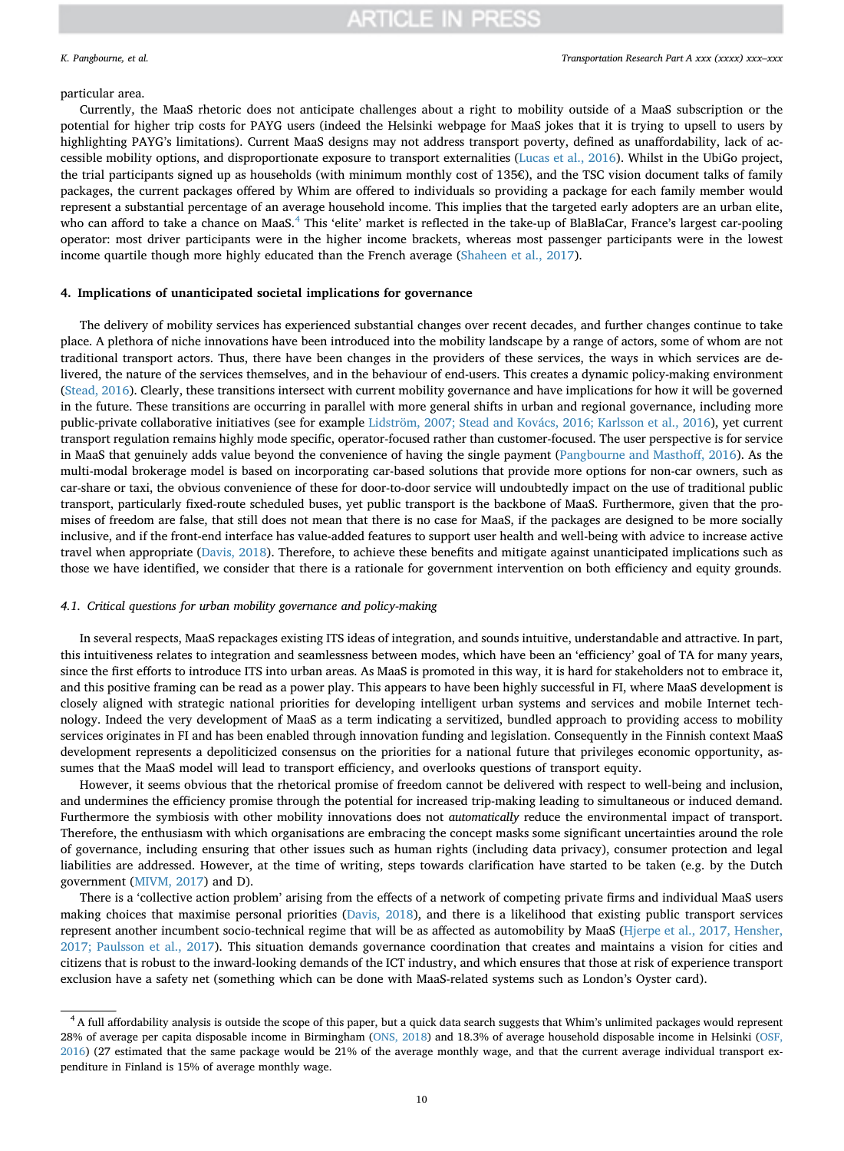## particular area.

Currently, the MaaS rhetoric does not anticipate challenges about a right to mobility outside of a MaaS subscription or the potential for higher trip costs for PAYG users (indeed the Helsinki webpage for MaaS jokes that it is trying to upsell to users by highlighting PAYG's limitations). Current MaaS designs may not address transport poverty, defined as unaffordability, lack of accessible mobility options, and disproportionate exposure to transport externalities ([Lucas et al., 2016\)](#page-13-30). Whilst in the UbiGo project, the trial participants signed up as households (with minimum monthly cost of 135€), and the TSC vision document talks of family packages, the current packages offered by Whim are offered to individuals so providing a package for each family member would represent a substantial percentage of an average household income. This implies that the targeted early adopters are an urban elite, who can afford to take a chance on MaaS.<sup>[4](#page-9-0)</sup> This 'elite' market is reflected in the take-up of BlaBlaCar, France's largest car-pooling operator: most driver participants were in the higher income brackets, whereas most passenger participants were in the lowest income quartile though more highly educated than the French average ([Shaheen et al., 2017\)](#page-14-12).

## **4. Implications of unanticipated societal implications for governance**

The delivery of mobility services has experienced substantial changes over recent decades, and further changes continue to take place. A plethora of niche innovations have been introduced into the mobility landscape by a range of actors, some of whom are not traditional transport actors. Thus, there have been changes in the providers of these services, the ways in which services are delivered, the nature of the services themselves, and in the behaviour of end-users. This creates a dynamic policy-making environment [\(Stead, 2016](#page-14-13)). Clearly, these transitions intersect with current mobility governance and have implications for how it will be governed in the future. These transitions are occurring in parallel with more general shifts in urban and regional governance, including more public-private collaborative initiatives (see for example [Lidström, 2007; Stead and Kovács, 2016; Karlsson et al., 2016\)](#page-13-31), yet current transport regulation remains highly mode specific, operator-focused rather than customer-focused. The user perspective is for service in MaaS that genuinely adds value beyond the convenience of having the single payment [\(Pangbourne and Masthoff, 2016](#page-14-14)). As the multi-modal brokerage model is based on incorporating car-based solutions that provide more options for non-car owners, such as car-share or taxi, the obvious convenience of these for door-to-door service will undoubtedly impact on the use of traditional public transport, particularly fixed-route scheduled buses, yet public transport is the backbone of MaaS. Furthermore, given that the promises of freedom are false, that still does not mean that there is no case for MaaS, if the packages are designed to be more socially inclusive, and if the front-end interface has value-added features to support user health and well-being with advice to increase active travel when appropriate ([Davis, 2018](#page-13-32)). Therefore, to achieve these benefits and mitigate against unanticipated implications such as those we have identified, we consider that there is a rationale for government intervention on both efficiency and equity grounds.

## *4.1. Critical questions for urban mobility governance and policy-making*

In several respects, MaaS repackages existing ITS ideas of integration, and sounds intuitive, understandable and attractive. In part, this intuitiveness relates to integration and seamlessness between modes, which have been an 'efficiency' goal of TA for many years, since the first efforts to introduce ITS into urban areas. As MaaS is promoted in this way, it is hard for stakeholders not to embrace it, and this positive framing can be read as a power play. This appears to have been highly successful in FI, where MaaS development is closely aligned with strategic national priorities for developing intelligent urban systems and services and mobile Internet technology. Indeed the very development of MaaS as a term indicating a servitized, bundled approach to providing access to mobility services originates in FI and has been enabled through innovation funding and legislation. Consequently in the Finnish context MaaS development represents a depoliticized consensus on the priorities for a national future that privileges economic opportunity, assumes that the MaaS model will lead to transport efficiency, and overlooks questions of transport equity.

However, it seems obvious that the rhetorical promise of freedom cannot be delivered with respect to well-being and inclusion, and undermines the efficiency promise through the potential for increased trip-making leading to simultaneous or induced demand. Furthermore the symbiosis with other mobility innovations does not *automatically* reduce the environmental impact of transport. Therefore, the enthusiasm with which organisations are embracing the concept masks some significant uncertainties around the role of governance, including ensuring that other issues such as human rights (including data privacy), consumer protection and legal liabilities are addressed. However, at the time of writing, steps towards clarification have started to be taken (e.g. by the Dutch government ([MIVM, 2017\)](#page-14-10) and D).

There is a 'collective action problem' arising from the effects of a network of competing private firms and individual MaaS users making choices that maximise personal priorities ([Davis, 2018\)](#page-13-32), and there is a likelihood that existing public transport services represent another incumbent socio-technical regime that will be as affected as automobility by MaaS ([Hjerpe et al., 2017, Hensher,](#page-13-17) [2017; Paulsson et al., 2017\)](#page-13-17). This situation demands governance coordination that creates and maintains a vision for cities and citizens that is robust to the inward-looking demands of the ICT industry, and which ensures that those at risk of experience transport exclusion have a safety net (something which can be done with MaaS-related systems such as London's Oyster card).

<span id="page-9-0"></span><sup>&</sup>lt;sup>4</sup> A full affordability analysis is outside the scope of this paper, but a quick data search suggests that Whim's unlimited packages would represent 28% of average per capita disposable income in Birmingham ([ONS, 2018\)](#page-14-15) and 18.3% of average household disposable income in Helsinki [\(OSF,](#page-14-16) [2016](#page-14-16)) (27 estimated that the same package would be 21% of the average monthly wage, and that the current average individual transport expenditure in Finland is 15% of average monthly wage.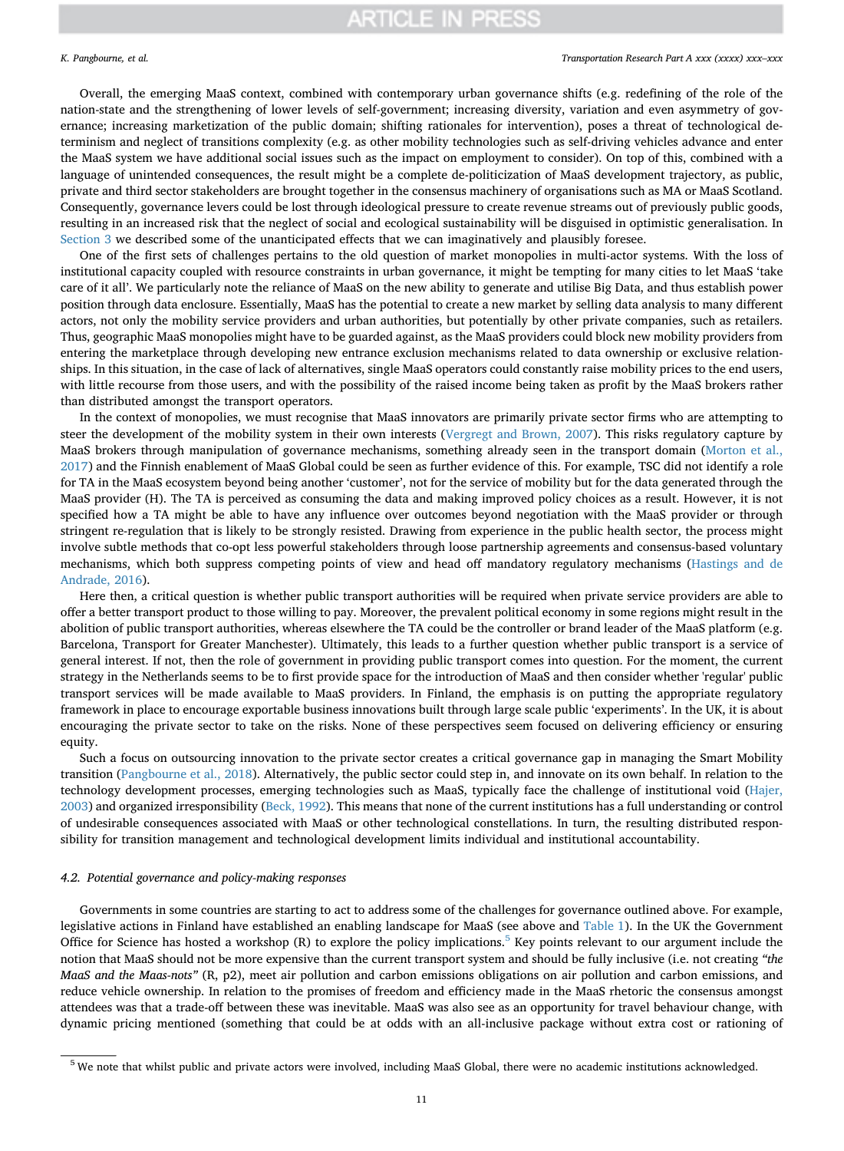### *K. Pangbourne, et al. Transportation Research Part A xxx (xxxx) xxx–xxx*

Overall, the emerging MaaS context, combined with contemporary urban governance shifts (e.g. redefining of the role of the nation-state and the strengthening of lower levels of self-government; increasing diversity, variation and even asymmetry of governance; increasing marketization of the public domain; shifting rationales for intervention), poses a threat of technological determinism and neglect of transitions complexity (e.g. as other mobility technologies such as self-driving vehicles advance and enter the MaaS system we have additional social issues such as the impact on employment to consider). On top of this, combined with a language of unintended consequences, the result might be a complete de-politicization of MaaS development trajectory, as public, private and third sector stakeholders are brought together in the consensus machinery of organisations such as MA or MaaS Scotland. Consequently, governance levers could be lost through ideological pressure to create revenue streams out of previously public goods, resulting in an increased risk that the neglect of social and ecological sustainability will be disguised in optimistic generalisation. In [Section 3](#page-7-1) we described some of the unanticipated effects that we can imaginatively and plausibly foresee.

One of the first sets of challenges pertains to the old question of market monopolies in multi-actor systems. With the loss of institutional capacity coupled with resource constraints in urban governance, it might be tempting for many cities to let MaaS 'take care of it all'. We particularly note the reliance of MaaS on the new ability to generate and utilise Big Data, and thus establish power position through data enclosure. Essentially, MaaS has the potential to create a new market by selling data analysis to many different actors, not only the mobility service providers and urban authorities, but potentially by other private companies, such as retailers. Thus, geographic MaaS monopolies might have to be guarded against, as the MaaS providers could block new mobility providers from entering the marketplace through developing new entrance exclusion mechanisms related to data ownership or exclusive relationships. In this situation, in the case of lack of alternatives, single MaaS operators could constantly raise mobility prices to the end users, with little recourse from those users, and with the possibility of the raised income being taken as profit by the MaaS brokers rather than distributed amongst the transport operators.

In the context of monopolies, we must recognise that MaaS innovators are primarily private sector firms who are attempting to steer the development of the mobility system in their own interests [\(Vergregt and Brown, 2007\)](#page-14-17). This risks regulatory capture by MaaS brokers through manipulation of governance mechanisms, something already seen in the transport domain [\(Morton et al.,](#page-14-18) [2017\)](#page-14-18) and the Finnish enablement of MaaS Global could be seen as further evidence of this. For example, TSC did not identify a role for TA in the MaaS ecosystem beyond being another 'customer', not for the service of mobility but for the data generated through the MaaS provider (H). The TA is perceived as consuming the data and making improved policy choices as a result. However, it is not specified how a TA might be able to have any influence over outcomes beyond negotiation with the MaaS provider or through stringent re-regulation that is likely to be strongly resisted. Drawing from experience in the public health sector, the process might involve subtle methods that co-opt less powerful stakeholders through loose partnership agreements and consensus-based voluntary mechanisms, which both suppress competing points of view and head off mandatory regulatory mechanisms [\(Hastings and de](#page-13-33) [Andrade, 2016\)](#page-13-33).

Here then, a critical question is whether public transport authorities will be required when private service providers are able to offer a better transport product to those willing to pay. Moreover, the prevalent political economy in some regions might result in the abolition of public transport authorities, whereas elsewhere the TA could be the controller or brand leader of the MaaS platform (e.g. Barcelona, Transport for Greater Manchester). Ultimately, this leads to a further question whether public transport is a service of general interest. If not, then the role of government in providing public transport comes into question. For the moment, the current strategy in the Netherlands seems to be to first provide space for the introduction of MaaS and then consider whether 'regular' public transport services will be made available to MaaS providers. In Finland, the emphasis is on putting the appropriate regulatory framework in place to encourage exportable business innovations built through large scale public 'experiments'. In the UK, it is about encouraging the private sector to take on the risks. None of these perspectives seem focused on delivering efficiency or ensuring equity.

Such a focus on outsourcing innovation to the private sector creates a critical governance gap in managing the Smart Mobility transition [\(Pangbourne et al., 2018\)](#page-14-7). Alternatively, the public sector could step in, and innovate on its own behalf. In relation to the technology development processes, emerging technologies such as MaaS, typically face the challenge of institutional void ([Hajer,](#page-13-34) [2003\)](#page-13-34) and organized irresponsibility [\(Beck, 1992](#page-13-35)). This means that none of the current institutions has a full understanding or control of undesirable consequences associated with MaaS or other technological constellations. In turn, the resulting distributed responsibility for transition management and technological development limits individual and institutional accountability.

## *4.2. Potential governance and policy-making responses*

Governments in some countries are starting to act to address some of the challenges for governance outlined above. For example, legislative actions in Finland have established an enabling landscape for MaaS (see above and [Table 1](#page-5-0)). In the UK the Government Office for Science has hosted a workshop  $(R)$  to explore the policy implications.<sup>[5](#page-10-0)</sup> Key points relevant to our argument include the notion that MaaS should not be more expensive than the current transport system and should be fully inclusive (i.e. not creating *"the MaaS and the Maas-nots"* (R, p2), meet air pollution and carbon emissions obligations on air pollution and carbon emissions, and reduce vehicle ownership. In relation to the promises of freedom and efficiency made in the MaaS rhetoric the consensus amongst attendees was that a trade-off between these was inevitable. MaaS was also see as an opportunity for travel behaviour change, with dynamic pricing mentioned (something that could be at odds with an all-inclusive package without extra cost or rationing of

<span id="page-10-0"></span><sup>&</sup>lt;sup>5</sup> We note that whilst public and private actors were involved, including MaaS Global, there were no academic institutions acknowledged.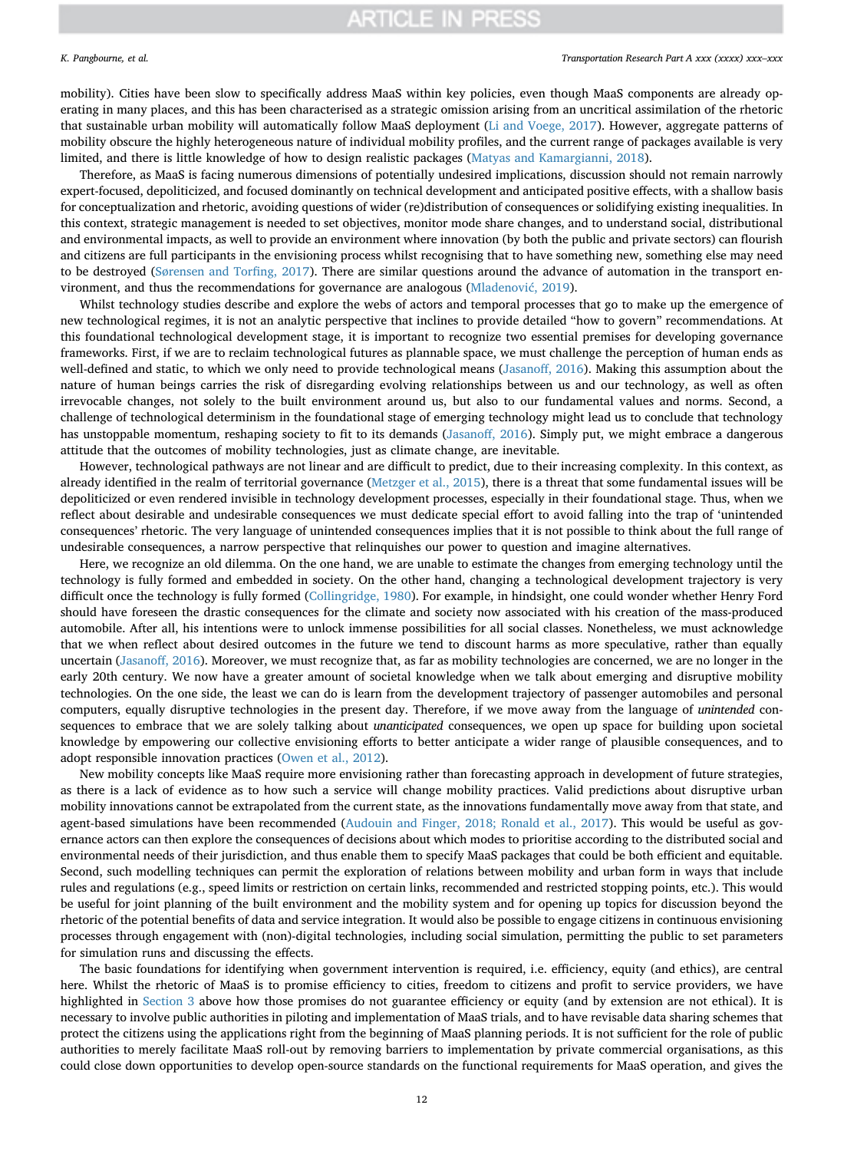mobility). Cities have been slow to specifically address MaaS within key policies, even though MaaS components are already operating in many places, and this has been characterised as a strategic omission arising from an uncritical assimilation of the rhetoric that sustainable urban mobility will automatically follow MaaS deployment [\(Li and Voege, 2017](#page-13-36)). However, aggregate patterns of mobility obscure the highly heterogeneous nature of individual mobility profiles, and the current range of packages available is very limited, and there is little knowledge of how to design realistic packages [\(Matyas and Kamargianni, 2018\)](#page-14-0).

Therefore, as MaaS is facing numerous dimensions of potentially undesired implications, discussion should not remain narrowly expert-focused, depoliticized, and focused dominantly on technical development and anticipated positive effects, with a shallow basis for conceptualization and rhetoric, avoiding questions of wider (re)distribution of consequences or solidifying existing inequalities. In this context, strategic management is needed to set objectives, monitor mode share changes, and to understand social, distributional and environmental impacts, as well to provide an environment where innovation (by both the public and private sectors) can flourish and citizens are full participants in the envisioning process whilst recognising that to have something new, something else may need to be destroyed [\(Sørensen and Torfing, 2017\)](#page-14-19). There are similar questions around the advance of automation in the transport environment, and thus the recommendations for governance are analogous ([Mladenović, 2019\)](#page-14-20).

Whilst technology studies describe and explore the webs of actors and temporal processes that go to make up the emergence of new technological regimes, it is not an analytic perspective that inclines to provide detailed "how to govern" recommendations. At this foundational technological development stage, it is important to recognize two essential premises for developing governance frameworks. First, if we are to reclaim technological futures as plannable space, we must challenge the perception of human ends as well-defined and static, to which we only need to provide technological means ([Jasanoff, 2016\)](#page-13-20). Making this assumption about the nature of human beings carries the risk of disregarding evolving relationships between us and our technology, as well as often irrevocable changes, not solely to the built environment around us, but also to our fundamental values and norms. Second, a challenge of technological determinism in the foundational stage of emerging technology might lead us to conclude that technology has unstoppable momentum, reshaping society to fit to its demands [\(Jasanoff, 2016\)](#page-13-20). Simply put, we might embrace a dangerous attitude that the outcomes of mobility technologies, just as climate change, are inevitable.

However, technological pathways are not linear and are difficult to predict, due to their increasing complexity. In this context, as already identified in the realm of territorial governance ([Metzger et al., 2015](#page-14-21)), there is a threat that some fundamental issues will be depoliticized or even rendered invisible in technology development processes, especially in their foundational stage. Thus, when we reflect about desirable and undesirable consequences we must dedicate special effort to avoid falling into the trap of 'unintended consequences' rhetoric. The very language of unintended consequences implies that it is not possible to think about the full range of undesirable consequences, a narrow perspective that relinquishes our power to question and imagine alternatives.

Here, we recognize an old dilemma. On the one hand, we are unable to estimate the changes from emerging technology until the technology is fully formed and embedded in society. On the other hand, changing a technological development trajectory is very difficult once the technology is fully formed ([Collingridge, 1980](#page-13-37)). For example, in hindsight, one could wonder whether Henry Ford should have foreseen the drastic consequences for the climate and society now associated with his creation of the mass-produced automobile. After all, his intentions were to unlock immense possibilities for all social classes. Nonetheless, we must acknowledge that we when reflect about desired outcomes in the future we tend to discount harms as more speculative, rather than equally uncertain ([Jasanoff, 2016](#page-13-20)). Moreover, we must recognize that, as far as mobility technologies are concerned, we are no longer in the early 20th century. We now have a greater amount of societal knowledge when we talk about emerging and disruptive mobility technologies. On the one side, the least we can do is learn from the development trajectory of passenger automobiles and personal computers, equally disruptive technologies in the present day. Therefore, if we move away from the language of *unintended* consequences to embrace that we are solely talking about *unanticipated* consequences, we open up space for building upon societal knowledge by empowering our collective envisioning efforts to better anticipate a wider range of plausible consequences, and to adopt responsible innovation practices ([Owen et al., 2012\)](#page-14-22).

New mobility concepts like MaaS require more envisioning rather than forecasting approach in development of future strategies, as there is a lack of evidence as to how such a service will change mobility practices. Valid predictions about disruptive urban mobility innovations cannot be extrapolated from the current state, as the innovations fundamentally move away from that state, and agent-based simulations have been recommended [\(Audouin and Finger, 2018; Ronald et al., 2017\)](#page-13-10). This would be useful as governance actors can then explore the consequences of decisions about which modes to prioritise according to the distributed social and environmental needs of their jurisdiction, and thus enable them to specify MaaS packages that could be both efficient and equitable. Second, such modelling techniques can permit the exploration of relations between mobility and urban form in ways that include rules and regulations (e.g., speed limits or restriction on certain links, recommended and restricted stopping points, etc.). This would be useful for joint planning of the built environment and the mobility system and for opening up topics for discussion beyond the rhetoric of the potential benefits of data and service integration. It would also be possible to engage citizens in continuous envisioning processes through engagement with (non)-digital technologies, including social simulation, permitting the public to set parameters for simulation runs and discussing the effects.

The basic foundations for identifying when government intervention is required, i.e. efficiency, equity (and ethics), are central here. Whilst the rhetoric of MaaS is to promise efficiency to cities, freedom to citizens and profit to service providers, we have highlighted in [Section 3](#page-7-1) above how those promises do not guarantee efficiency or equity (and by extension are not ethical). It is necessary to involve public authorities in piloting and implementation of MaaS trials, and to have revisable data sharing schemes that protect the citizens using the applications right from the beginning of MaaS planning periods. It is not sufficient for the role of public authorities to merely facilitate MaaS roll-out by removing barriers to implementation by private commercial organisations, as this could close down opportunities to develop open-source standards on the functional requirements for MaaS operation, and gives the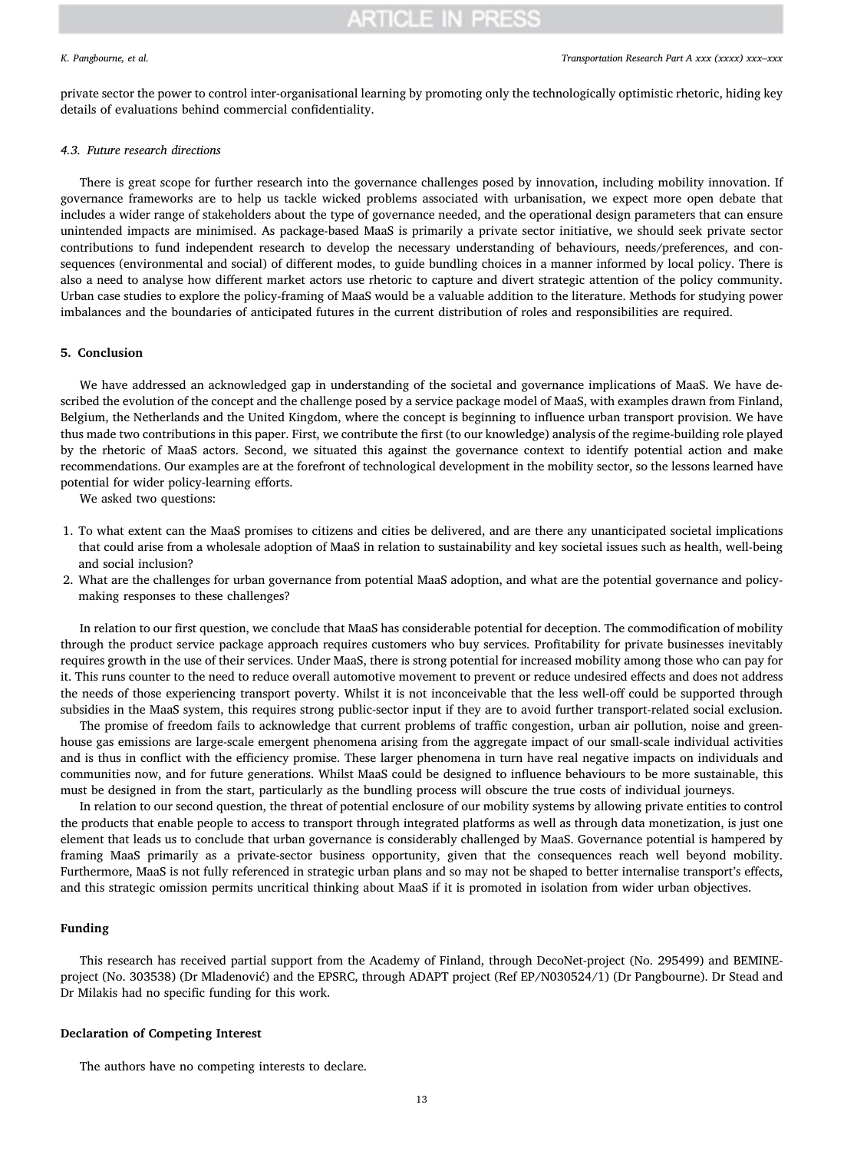private sector the power to control inter-organisational learning by promoting only the technologically optimistic rhetoric, hiding key details of evaluations behind commercial confidentiality.

## *4.3. Future research directions*

There is great scope for further research into the governance challenges posed by innovation, including mobility innovation. If governance frameworks are to help us tackle wicked problems associated with urbanisation, we expect more open debate that includes a wider range of stakeholders about the type of governance needed, and the operational design parameters that can ensure unintended impacts are minimised. As package-based MaaS is primarily a private sector initiative, we should seek private sector contributions to fund independent research to develop the necessary understanding of behaviours, needs/preferences, and consequences (environmental and social) of different modes, to guide bundling choices in a manner informed by local policy. There is also a need to analyse how different market actors use rhetoric to capture and divert strategic attention of the policy community. Urban case studies to explore the policy-framing of MaaS would be a valuable addition to the literature. Methods for studying power imbalances and the boundaries of anticipated futures in the current distribution of roles and responsibilities are required.

## **5. Conclusion**

We have addressed an acknowledged gap in understanding of the societal and governance implications of MaaS. We have described the evolution of the concept and the challenge posed by a service package model of MaaS, with examples drawn from Finland, Belgium, the Netherlands and the United Kingdom, where the concept is beginning to influence urban transport provision. We have thus made two contributions in this paper. First, we contribute the first (to our knowledge) analysis of the regime-building role played by the rhetoric of MaaS actors. Second, we situated this against the governance context to identify potential action and make recommendations. Our examples are at the forefront of technological development in the mobility sector, so the lessons learned have potential for wider policy-learning efforts.

We asked two questions:

- 1. To what extent can the MaaS promises to citizens and cities be delivered, and are there any unanticipated societal implications that could arise from a wholesale adoption of MaaS in relation to sustainability and key societal issues such as health, well-being and social inclusion?
- 2. What are the challenges for urban governance from potential MaaS adoption, and what are the potential governance and policymaking responses to these challenges?

In relation to our first question, we conclude that MaaS has considerable potential for deception. The commodification of mobility through the product service package approach requires customers who buy services. Profitability for private businesses inevitably requires growth in the use of their services. Under MaaS, there is strong potential for increased mobility among those who can pay for it. This runs counter to the need to reduce overall automotive movement to prevent or reduce undesired effects and does not address the needs of those experiencing transport poverty. Whilst it is not inconceivable that the less well-off could be supported through subsidies in the MaaS system, this requires strong public-sector input if they are to avoid further transport-related social exclusion.

The promise of freedom fails to acknowledge that current problems of traffic congestion, urban air pollution, noise and greenhouse gas emissions are large-scale emergent phenomena arising from the aggregate impact of our small-scale individual activities and is thus in conflict with the efficiency promise. These larger phenomena in turn have real negative impacts on individuals and communities now, and for future generations. Whilst MaaS could be designed to influence behaviours to be more sustainable, this must be designed in from the start, particularly as the bundling process will obscure the true costs of individual journeys.

In relation to our second question, the threat of potential enclosure of our mobility systems by allowing private entities to control the products that enable people to access to transport through integrated platforms as well as through data monetization, is just one element that leads us to conclude that urban governance is considerably challenged by MaaS. Governance potential is hampered by framing MaaS primarily as a private-sector business opportunity, given that the consequences reach well beyond mobility. Furthermore, MaaS is not fully referenced in strategic urban plans and so may not be shaped to better internalise transport's effects, and this strategic omission permits uncritical thinking about MaaS if it is promoted in isolation from wider urban objectives.

## **Funding**

This research has received partial support from the Academy of Finland, through DecoNet-project (No. 295499) and BEMINEproject (No. 303538) (Dr Mladenović) and the EPSRC, through ADAPT project (Ref EP/N030524/1) (Dr Pangbourne). Dr Stead and Dr Milakis had no specific funding for this work.

## **Declaration of Competing Interest**

The authors have no competing interests to declare.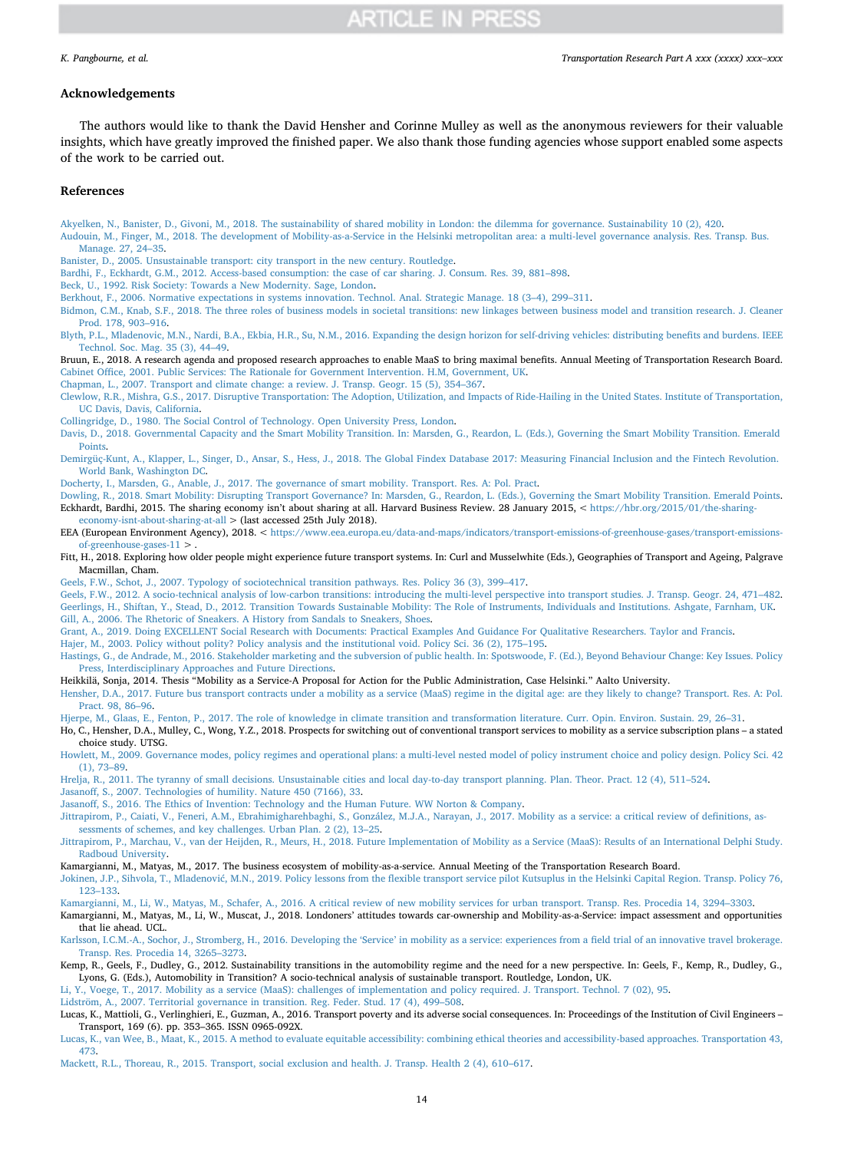## **Acknowledgements**

The authors would like to thank the David Hensher and Corinne Mulley as well as the anonymous reviewers for their valuable insights, which have greatly improved the finished paper. We also thank those funding agencies whose support enabled some aspects of the work to be carried out.

### **References**

<span id="page-13-6"></span>[Akyelken, N., Banister, D., Givoni, M., 2018. The sustainability of shared mobility in London: the dilemma for governance. Sustainability 10 \(2\), 420.](http://refhub.elsevier.com/S0965-8564(18)30960-1/h0005)

<span id="page-13-10"></span>[Audouin, M., Finger, M., 2018. The development of Mobility-as-a-Service in the Helsinki metropolitan area: a multi-level governance analysis. Res. Transp. Bus.](http://refhub.elsevier.com/S0965-8564(18)30960-1/h0010) [Manage. 27, 24–35.](http://refhub.elsevier.com/S0965-8564(18)30960-1/h0010)

<span id="page-13-2"></span>[Banister, D., 2005. Unsustainable transport: city transport in the new century. Routledge](http://refhub.elsevier.com/S0965-8564(18)30960-1/h0015).

<span id="page-13-4"></span>[Bardhi, F., Eckhardt, G.M., 2012. Access-based consumption: the case of car sharing. J. Consum. Res. 39, 881–898](http://refhub.elsevier.com/S0965-8564(18)30960-1/h0020).

<span id="page-13-35"></span>[Beck, U., 1992. Risk Society: Towards a New Modernity. Sage, London](http://refhub.elsevier.com/S0965-8564(18)30960-1/h0025).

<span id="page-13-18"></span>[Berkhout, F., 2006. Normative expectations in systems innovation. Technol. Anal. Strategic Manage. 18 \(3–4\), 299–311.](http://refhub.elsevier.com/S0965-8564(18)30960-1/h0030)

<span id="page-13-16"></span>[Bidmon, C.M., Knab, S.F., 2018. The three roles of business models in societal transitions: new linkages between business model and transition research. J. Cleaner](http://refhub.elsevier.com/S0965-8564(18)30960-1/h0035) [Prod. 178, 903–916](http://refhub.elsevier.com/S0965-8564(18)30960-1/h0035).

[Blyth, P.L., Mladenovic, M.N., Nardi, B.A., Ekbia, H.R., Su, N.M., 2016. Expanding the design horizon for self-driving vehicles: distributing benefits and burdens. IEEE](http://refhub.elsevier.com/S0965-8564(18)30960-1/h0040) [Technol. Soc. Mag. 35 \(3\), 44–49](http://refhub.elsevier.com/S0965-8564(18)30960-1/h0040).

<span id="page-13-12"></span><span id="page-13-9"></span>Bruun, E., 2018. A research agenda and proposed research approaches to enable MaaS to bring maximal benefits. Annual Meeting of Transportation Research Board. [Cabinet Office, 2001. Public Services: The Rationale for Government Intervention. H.M, Government, UK](http://refhub.elsevier.com/S0965-8564(18)30960-1/h0050).

<span id="page-13-0"></span>[Chapman, L., 2007. Transport and climate change: a review. J. Transp. Geogr. 15 \(5\), 354–367](http://refhub.elsevier.com/S0965-8564(18)30960-1/h0055).

<span id="page-13-26"></span>[Clewlow, R.R., Mishra, G.S., 2017. Disruptive Transportation: The Adoption, Utilization, and Impacts of Ride-Hailing in the United States. Institute of Transportation,](http://refhub.elsevier.com/S0965-8564(18)30960-1/h0060) [UC Davis, Davis, California](http://refhub.elsevier.com/S0965-8564(18)30960-1/h0060).

<span id="page-13-37"></span>[Collingridge, D., 1980. The Social Control of Technology. Open University Press, London.](http://refhub.elsevier.com/S0965-8564(18)30960-1/h0065)

<span id="page-13-32"></span>[Davis, D., 2018. Governmental Capacity and the Smart Mobility Transition. In: Marsden, G., Reardon, L. \(Eds.\), Governing the Smart Mobility Transition. Emerald](http://refhub.elsevier.com/S0965-8564(18)30960-1/h0070) [Points](http://refhub.elsevier.com/S0965-8564(18)30960-1/h0070).

<span id="page-13-29"></span>[Demirgüç-Kunt, A., Klapper, L., Singer, D., Ansar, S., Hess, J., 2018. The Global Findex Database 2017: Measuring Financial Inclusion and the Fintech Revolution.](http://refhub.elsevier.com/S0965-8564(18)30960-1/h0075) [World Bank, Washington DC.](http://refhub.elsevier.com/S0965-8564(18)30960-1/h0075)

<span id="page-13-11"></span>[Docherty, I., Marsden, G., Anable, J., 2017. The governance of smart mobility. Transport. Res. A: Pol. Pract.](http://refhub.elsevier.com/S0965-8564(18)30960-1/h0080)

<span id="page-13-22"></span><span id="page-13-8"></span>[Dowling, R., 2018. Smart Mobility: Disrupting Transport Governance? In: Marsden, G., Reardon, L. \(Eds.\), Governing the Smart Mobility Transition. Emerald Points](http://refhub.elsevier.com/S0965-8564(18)30960-1/h0085). Eckhardt, Bardhi, 2015. The sharing economy isn't about sharing at all. Harvard Business Review. 28 January 2015, < [https://hbr.org/2015/01/the-sharing](https://hbr.org/2015/01/the-sharing-economy-isnt-about-sharing-at-all)[economy-isnt-about-sharing-at-all](https://hbr.org/2015/01/the-sharing-economy-isnt-about-sharing-at-all) > (last accessed 25th July 2018).

<span id="page-13-13"></span>EEA (European Environment Agency), 2018. < [https://www.eea.europa.eu/data-and-maps/indicators/transport-emissions-of-greenhouse-gases/transport-emissions](https://www.eea.europa.eu/data-and-maps/indicators/transport-emissions-of-greenhouse-gases/transport-emissions-of-greenhouse-gases-11)[of-greenhouse-gases-11](https://www.eea.europa.eu/data-and-maps/indicators/transport-emissions-of-greenhouse-gases/transport-emissions-of-greenhouse-gases-11) > .

<span id="page-13-28"></span>Fitt, H., 2018. Exploring how older people might experience future transport systems. In: Curl and Musselwhite (Eds.), Geographies of Transport and Ageing, Palgrave Macmillan, Cham.

<span id="page-13-14"></span>[Geels, F.W., Schot, J., 2007. Typology of sociotechnical transition pathways. Res. Policy 36 \(3\), 399–417](http://refhub.elsevier.com/S0965-8564(18)30960-1/h0105).

<span id="page-13-15"></span><span id="page-13-3"></span>[Geels, F.W., 2012. A socio-technical analysis of low-carbon transitions: introducing the multi-level perspective into transport studies. J. Transp. Geogr. 24, 471–482](http://refhub.elsevier.com/S0965-8564(18)30960-1/h0110). [Geerlings, H., Shiftan, Y., Stead, D., 2012. Transition Towards Sustainable Mobility: The Role of Instruments, Individuals and Institutions. Ashgate, Farnham, UK.](http://refhub.elsevier.com/S0965-8564(18)30960-1/h0115) [Gill, A., 2006. The Rhetoric of Sneakers. A History from Sandals to Sneakers, Shoes.](http://refhub.elsevier.com/S0965-8564(18)30960-1/h0120)

<span id="page-13-19"></span>[Grant, A., 2019. Doing EXCELLENT Social Research with Documents: Practical Examples And Guidance For Qualitative Researchers. Taylor and Francis.](http://refhub.elsevier.com/S0965-8564(18)30960-1/h0125)

<span id="page-13-34"></span>[Hajer, M., 2003. Policy without polity? Policy analysis and the institutional void. Policy Sci. 36 \(2\), 175–195](http://refhub.elsevier.com/S0965-8564(18)30960-1/h0130).

<span id="page-13-33"></span>[Hastings, G., de Andrade, M., 2016. Stakeholder marketing and the subversion of public health. In: Spotswoode, F. \(Ed.\), Beyond Behaviour Change: Key Issues. Policy](http://refhub.elsevier.com/S0965-8564(18)30960-1/h0135)

<span id="page-13-7"></span>[Press, Interdisciplinary Approaches and Future Directions.](http://refhub.elsevier.com/S0965-8564(18)30960-1/h0135) Heikkilä, Sonja, 2014. Thesis "Mobility as a Service-A Proposal for Action for the Public Administration, Case Helsinki." Aalto University.

[Hensher, D.A., 2017. Future bus transport contracts under a mobility as a service \(MaaS\) regime in the digital age: are they likely to change? Transport. Res. A: Pol.](http://refhub.elsevier.com/S0965-8564(18)30960-1/h0145) [Pract. 98, 86–96](http://refhub.elsevier.com/S0965-8564(18)30960-1/h0145).

<span id="page-13-17"></span>[Hjerpe, M., Glaas, E., Fenton, P., 2017. The role of knowledge in climate transition and transformation literature. Curr. Opin. Environ. Sustain. 29, 26–31.](http://refhub.elsevier.com/S0965-8564(18)30960-1/h0150)

Ho, C., Hensher, D.A., Mulley, C., Wong, Y.Z., 2018. Prospects for switching out of conventional transport services to mobility as a service subscription plans – a stated

choice study. UTSG. [Howlett, M., 2009. Governance modes, policy regimes and operational plans: a multi-level nested model of policy instrument choice and policy design. Policy Sci. 42](http://refhub.elsevier.com/S0965-8564(18)30960-1/h0160) [\(1\), 73–89.](http://refhub.elsevier.com/S0965-8564(18)30960-1/h0160)

[Hrelja, R., 2011. The tyranny of small decisions. Unsustainable cities and local day-to-day transport planning. Plan. Theor. Pract. 12 \(4\), 511–524.](http://refhub.elsevier.com/S0965-8564(18)30960-1/h0165)

<span id="page-13-5"></span>[Jasanoff, S., 2007. Technologies of humility. Nature 450 \(7166\), 33.](http://refhub.elsevier.com/S0965-8564(18)30960-1/h0170)

<span id="page-13-20"></span>[Jasanoff, S., 2016. The Ethics of Invention: Technology and the Human Future. WW Norton & Company.](http://refhub.elsevier.com/S0965-8564(18)30960-1/h0175)

<span id="page-13-24"></span>[Jittrapirom, P., Caiati, V., Feneri, A.M., Ebrahimigharehbaghi, S., González, M.J.A., Narayan, J., 2017. Mobility as a service: a critical review of definitions, as](http://refhub.elsevier.com/S0965-8564(18)30960-1/h0180)[sessments of schemes, and key challenges. Urban Plan. 2 \(2\), 13–25.](http://refhub.elsevier.com/S0965-8564(18)30960-1/h0180)

[Jittrapirom, P., Marchau, V., van der Heijden, R., Meurs, H., 2018. Future Implementation of Mobility as a Service \(MaaS\): Results of an International Delphi Study.](http://refhub.elsevier.com/S0965-8564(18)30960-1/h0185) [Radboud University](http://refhub.elsevier.com/S0965-8564(18)30960-1/h0185).

Kamargianni, M., Matyas, M., 2017. The business ecosystem of mobility-as-a-service. Annual Meeting of the Transportation Research Board.

<span id="page-13-23"></span>[Jokinen, J.P., Sihvola, T., Mladenović, M.N., 2019. Policy lessons from the flexible transport service pilot Kutsuplus in the Helsinki Capital Region. Transp. Policy 76,](http://refhub.elsevier.com/S0965-8564(18)30960-1/h0190) [123–133.](http://refhub.elsevier.com/S0965-8564(18)30960-1/h0190)

<span id="page-13-21"></span>[Kamargianni, M., Li, W., Matyas, M., Schafer, A., 2016. A critical review of new mobility services for urban transport. Transp. Res. Procedia 14, 3294–3303.](http://refhub.elsevier.com/S0965-8564(18)30960-1/h0200)

<span id="page-13-25"></span>Kamargianni, M., Matyas, M., Li, W., Muscat, J., 2018. Londoners' attitudes towards car-ownership and Mobility-as-a-Service: impact assessment and opportunities that lie ahead. UCL.

[Karlsson, I.C.M.-A., Sochor, J., Stromberg, H., 2016. Developing the 'Service' in mobility as a service: experiences from a field trial of an innovative travel brokerage.](http://refhub.elsevier.com/S0965-8564(18)30960-1/h0210) [Transp. Res. Procedia 14, 3265–3273](http://refhub.elsevier.com/S0965-8564(18)30960-1/h0210).

Kemp, R., Geels, F., Dudley, G., 2012. Sustainability transitions in the automobility regime and the need for a new perspective. In: Geels, F., Kemp, R., Dudley, G., 2012. Sustainability transitions in the automobility reg Lyons, G. (Eds.), Automobility in Transition? A socio-technical analysis of sustainable transport. Routledge, London, UK.

<span id="page-13-36"></span>[Li, Y., Voege, T., 2017. Mobility as a service \(MaaS\): challenges of implementation and policy required. J. Transport. Technol. 7 \(02\), 95](http://refhub.elsevier.com/S0965-8564(18)30960-1/h0220).

<span id="page-13-31"></span>[Lidström, A., 2007. Territorial governance in transition. Reg. Feder. Stud. 17 \(4\), 499–508.](http://refhub.elsevier.com/S0965-8564(18)30960-1/h0225)

<span id="page-13-30"></span>Lucas, K., Mattioli, G., Verlinghieri, E., Guzman, A., 2016. Transport poverty and its adverse social consequences. In: Proceedings of the Institution of Civil Engineers – Transport, 169 (6). pp. 353–365. ISSN 0965-092X.

<span id="page-13-27"></span>[Lucas, K., van Wee, B., Maat, K., 2015. A method to evaluate equitable accessibility: combining ethical theories and accessibility-based approaches. Transportation 43,](http://refhub.elsevier.com/S0965-8564(18)30960-1/h0235) [473.](http://refhub.elsevier.com/S0965-8564(18)30960-1/h0235)

<span id="page-13-1"></span>[Mackett, R.L., Thoreau, R., 2015. Transport, social exclusion and health. J. Transp. Health 2 \(4\), 610–617](http://refhub.elsevier.com/S0965-8564(18)30960-1/h0240).